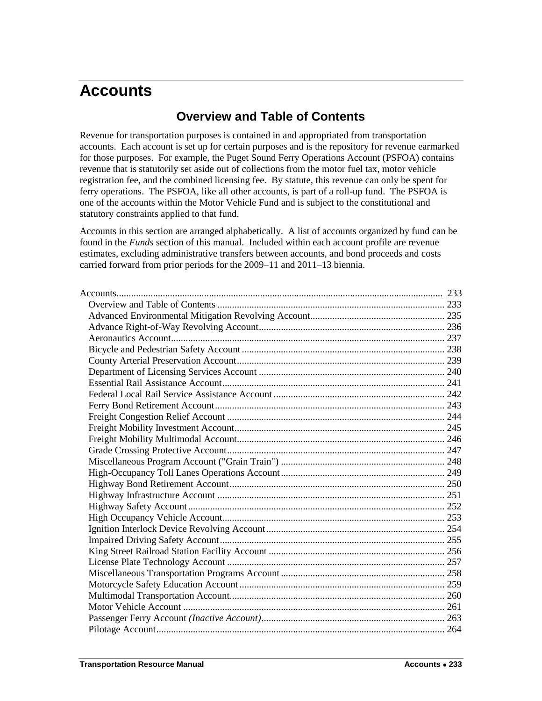# <span id="page-0-1"></span><span id="page-0-0"></span>**Accounts**

## **Overview and Table of Contents**

Revenue for transportation purposes is contained in and appropriated from transportation accounts. Each account is set up for certain purposes and is the repository for revenue earmarked for those purposes. For example, the Puget Sound Ferry Operations Account (PSFOA) contains revenue that is statutorily set aside out of collections from the motor fuel tax, motor vehicle registration fee, and the combined licensing fee. By statute, this revenue can only be spent for ferry operations. The PSFOA, like all other accounts, is part of a roll-up fund. The PSFOA is one of the accounts within the Motor Vehicle Fund and is subject to the constitutional and statutory constraints applied to that fund.

Accounts in this section are arranged alphabetically. A list of accounts organized by fund can be found in the *Funds* section of this manual. Included within each account profile are revenue estimates, excluding administrative transfers between accounts, and bond proceeds and costs carried forward from prior periods for the 2009–11 and 2011–13 biennia.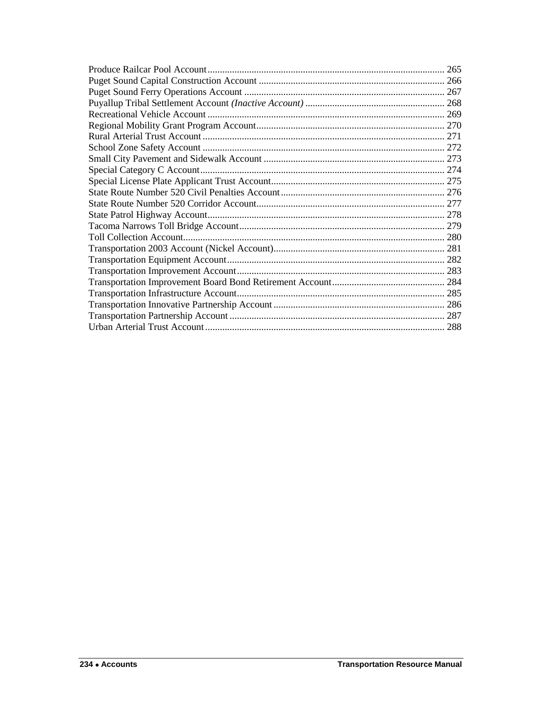| 265 |
|-----|
|     |
|     |
|     |
|     |
|     |
|     |
|     |
|     |
|     |
|     |
|     |
|     |
|     |
|     |
|     |
|     |
|     |
|     |
|     |
|     |
|     |
|     |
|     |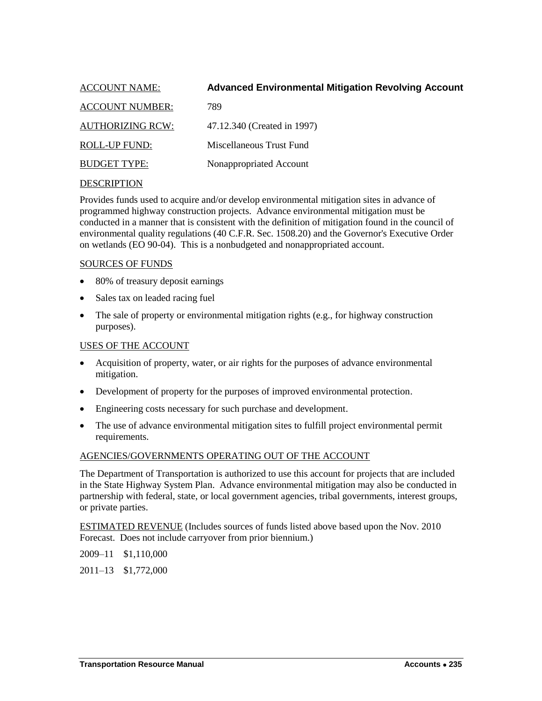<span id="page-2-0"></span>

| <b>ACCOUNT NAME:</b>    | <b>Advanced Environmental Mitigation Revolving Account</b> |
|-------------------------|------------------------------------------------------------|
| <b>ACCOUNT NUMBER:</b>  | 789                                                        |
| <b>AUTHORIZING RCW:</b> | 47.12.340 (Created in 1997)                                |
| <b>ROLL-UP FUND:</b>    | Miscellaneous Trust Fund                                   |
| <b>BUDGET TYPE:</b>     | Nonappropriated Account                                    |
|                         |                                                            |

Provides funds used to acquire and/or develop environmental mitigation sites in advance of programmed highway construction projects. Advance environmental mitigation must be conducted in a manner that is consistent with the definition of mitigation found in the council of environmental quality regulations (40 C.F.R. Sec. 1508.20) and the Governor's Executive Order on wetlands (EO 90-04). This is a nonbudgeted and nonappropriated account.

#### SOURCES OF FUNDS

- 80% of treasury deposit earnings
- Sales tax on leaded racing fuel
- $\bullet$  The sale of property or environmental mitigation rights (e.g., for highway construction purposes).

#### USES OF THE ACCOUNT

- Acquisition of property, water, or air rights for the purposes of advance environmental mitigation.
- Development of property for the purposes of improved environmental protection.
- Engineering costs necessary for such purchase and development.
- The use of advance environmental mitigation sites to fulfill project environmental permit requirements.

#### AGENCIES/GOVERNMENTS OPERATING OUT OF THE ACCOUNT

The Department of Transportation is authorized to use this account for projects that are included in the State Highway System Plan. Advance environmental mitigation may also be conducted in partnership with federal, state, or local government agencies, tribal governments, interest groups, or private parties.

ESTIMATED REVENUE (Includes sources of funds listed above based upon the Nov. 2010 Forecast. Does not include carryover from prior biennium.)

2009–11 \$1,110,000

2011–13 \$1,772,000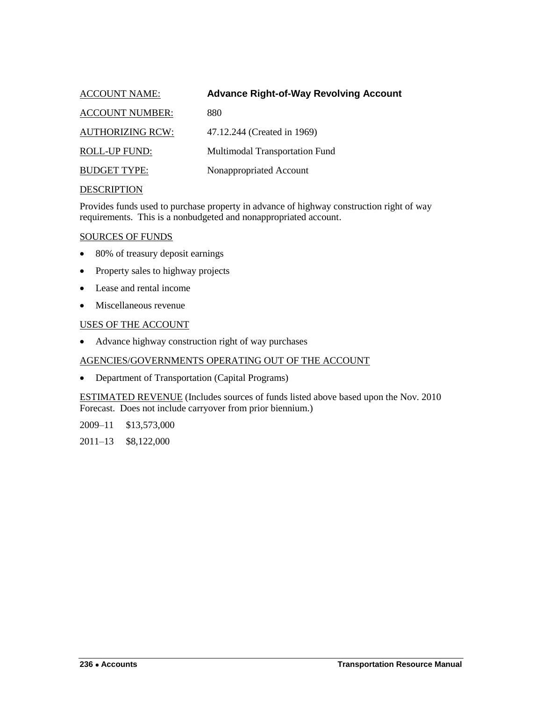<span id="page-3-0"></span>

| <b>ACCOUNT NAME:</b>    | <b>Advance Right-of-Way Revolving Account</b> |
|-------------------------|-----------------------------------------------|
| <b>ACCOUNT NUMBER:</b>  | 880                                           |
| <b>AUTHORIZING RCW:</b> | 47.12.244 (Created in 1969)                   |
| ROLL-UP FUND:           | Multimodal Transportation Fund                |
| <b>BUDGET TYPE:</b>     | Nonappropriated Account                       |
|                         |                                               |

Provides funds used to purchase property in advance of highway construction right of way requirements. This is a nonbudgeted and nonappropriated account.

### SOURCES OF FUNDS

- 80% of treasury deposit earnings
- Property sales to highway projects
- Lease and rental income
- Miscellaneous revenue

### USES OF THE ACCOUNT

Advance highway construction right of way purchases

### AGENCIES/GOVERNMENTS OPERATING OUT OF THE ACCOUNT

• Department of Transportation (Capital Programs)

ESTIMATED REVENUE (Includes sources of funds listed above based upon the Nov. 2010 Forecast. Does not include carryover from prior biennium.)

2009–11 \$13,573,000

2011–13 \$8,122,000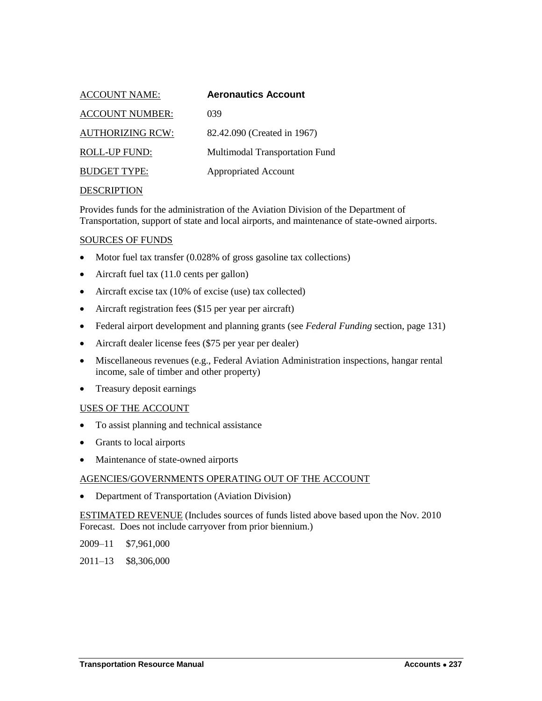<span id="page-4-0"></span>

| <b>ACCOUNT NAME:</b>    | <b>Aeronautics Account</b>     |
|-------------------------|--------------------------------|
| <b>ACCOUNT NUMBER:</b>  | 039                            |
| <b>AUTHORIZING RCW:</b> | 82.42.090 (Created in 1967)    |
| ROLL-UP FUND:           | Multimodal Transportation Fund |
| <b>BUDGET TYPE:</b>     | <b>Appropriated Account</b>    |
|                         |                                |

Provides funds for the administration of the Aviation Division of the Department of Transportation, support of state and local airports, and maintenance of state-owned airports.

#### SOURCES OF FUNDS

- Motor fuel tax transfer (0.028% of gross gasoline tax collections)
- Aircraft fuel tax (11.0 cents per gallon)
- Aircraft excise tax (10% of excise (use) tax collected)
- Aircraft registration fees (\$15 per year per aircraft)
- Federal airport development and planning grants (see *Federal Funding* section, page 131)
- Aircraft dealer license fees (\$75 per year per dealer)
- Miscellaneous revenues (e.g., Federal Aviation Administration inspections, hangar rental income, sale of timber and other property)
- Treasury deposit earnings

#### USES OF THE ACCOUNT

- To assist planning and technical assistance
- Grants to local airports
- Maintenance of state-owned airports

#### AGENCIES/GOVERNMENTS OPERATING OUT OF THE ACCOUNT

• Department of Transportation (Aviation Division)

ESTIMATED REVENUE (Includes sources of funds listed above based upon the Nov. 2010 Forecast. Does not include carryover from prior biennium.)

2009–11 \$7,961,000

2011–13 \$8,306,000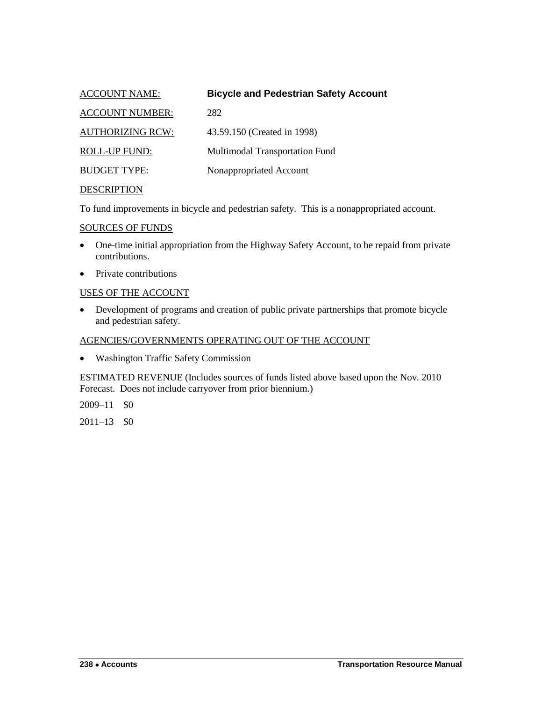<span id="page-5-0"></span>

| <b>ACCOUNT NAME:</b>    | <b>Bicycle and Pedestrian Safety Account</b> |
|-------------------------|----------------------------------------------|
| <b>ACCOUNT NUMBER:</b>  | 282                                          |
| <b>AUTHORIZING RCW:</b> | 43.59.150 (Created in 1998)                  |
| <b>ROLL-UP FUND:</b>    | Multimodal Transportation Fund               |
| <b>BUDGET TYPE:</b>     | Nonappropriated Account                      |
| <b>DESCRIPTION</b>      |                                              |

To fund improvements in bicycle and pedestrian safety. This is a nonappropriated account.

### SOURCES OF FUNDS

- One-time initial appropriation from the Highway Safety Account, to be repaid from private contributions.
- Private contributions

### USES OF THE ACCOUNT

 Development of programs and creation of public private partnerships that promote bicycle and pedestrian safety.

### AGENCIES/GOVERNMENTS OPERATING OUT OF THE ACCOUNT

Washington Traffic Safety Commission

ESTIMATED REVENUE (Includes sources of funds listed above based upon the Nov. 2010 Forecast. Does not include carryover from prior biennium.)

2009–11 \$0

 $2011-13$  \$0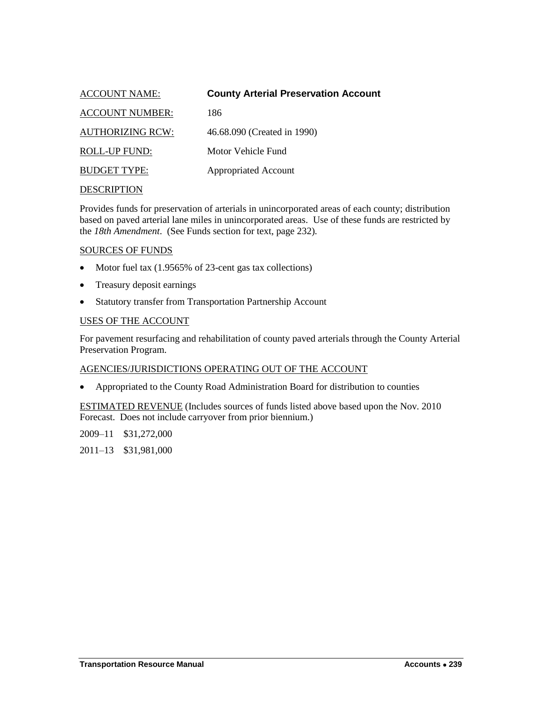<span id="page-6-0"></span>

| <b>ACCOUNT NAME:</b>    | <b>County Arterial Preservation Account</b> |
|-------------------------|---------------------------------------------|
| <b>ACCOUNT NUMBER:</b>  | 186                                         |
| <b>AUTHORIZING RCW:</b> | 46.68.090 (Created in 1990)                 |
| ROLL-UP FUND:           | Motor Vehicle Fund                          |
| <b>BUDGET TYPE:</b>     | <b>Appropriated Account</b>                 |
|                         |                                             |

Provides funds for preservation of arterials in unincorporated areas of each county; distribution based on paved arterial lane miles in unincorporated areas. Use of these funds are restricted by the *18th Amendment*. (See Funds section for text, page 232)*.*

#### SOURCES OF FUNDS

- Motor fuel tax (1.9565% of 23-cent gas tax collections)
- Treasury deposit earnings
- Statutory transfer from Transportation Partnership Account

#### USES OF THE ACCOUNT

For pavement resurfacing and rehabilitation of county paved arterials through the County Arterial Preservation Program.

#### AGENCIES/JURISDICTIONS OPERATING OUT OF THE ACCOUNT

Appropriated to the County Road Administration Board for distribution to counties

ESTIMATED REVENUE (Includes sources of funds listed above based upon the Nov. 2010 Forecast. Does not include carryover from prior biennium.)

2009–11 \$31,272,000

2011–13 \$31,981,000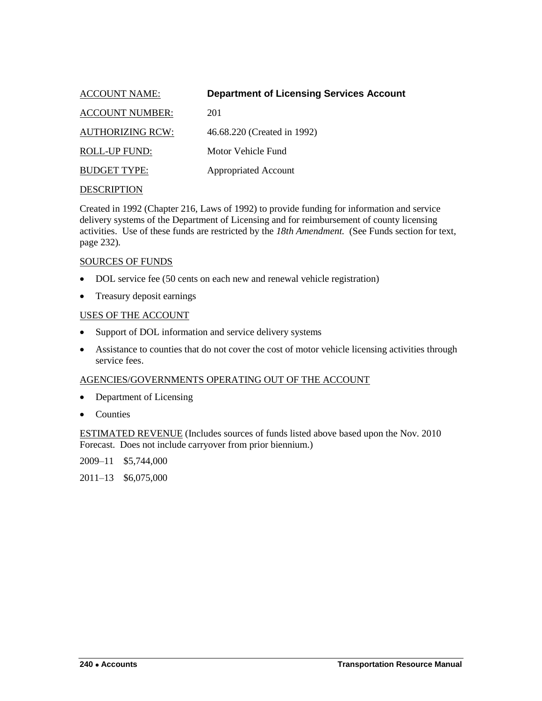<span id="page-7-0"></span>

| <b>ACCOUNT NAME:</b>    | <b>Department of Licensing Services Account</b> |
|-------------------------|-------------------------------------------------|
| <b>ACCOUNT NUMBER:</b>  | 201                                             |
| <b>AUTHORIZING RCW:</b> | 46.68.220 (Created in 1992)                     |
| ROLL-UP FUND:           | Motor Vehicle Fund                              |
| <b>BUDGET TYPE:</b>     | <b>Appropriated Account</b>                     |
|                         |                                                 |

Created in 1992 (Chapter 216, Laws of 1992) to provide funding for information and service delivery systems of the Department of Licensing and for reimbursement of county licensing activities. Use of these funds are restricted by the *18th Amendment.* (See Funds section for text, page 232)*.*

#### SOURCES OF FUNDS

- DOL service fee (50 cents on each new and renewal vehicle registration)
- Treasury deposit earnings

### USES OF THE ACCOUNT

- Support of DOL information and service delivery systems
- Assistance to counties that do not cover the cost of motor vehicle licensing activities through service fees.

### AGENCIES/GOVERNMENTS OPERATING OUT OF THE ACCOUNT

- Department of Licensing
- Counties

ESTIMATED REVENUE (Includes sources of funds listed above based upon the Nov. 2010 Forecast. Does not include carryover from prior biennium.)

2009–11 \$5,744,000

2011–13 \$6,075,000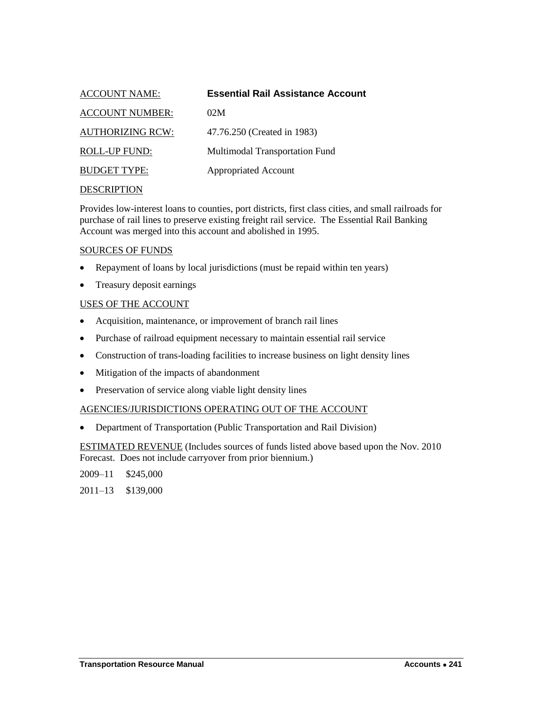<span id="page-8-0"></span>

| <b>ACCOUNT NAME:</b>    | <b>Essential Rail Assistance Account</b> |
|-------------------------|------------------------------------------|
| <b>ACCOUNT NUMBER:</b>  | 02M                                      |
| <b>AUTHORIZING RCW:</b> | 47.76.250 (Created in 1983)              |
| ROLL-UP FUND:           | Multimodal Transportation Fund           |
| <b>BUDGET TYPE:</b>     | <b>Appropriated Account</b>              |
|                         |                                          |

Provides low-interest loans to counties, port districts, first class cities, and small railroads for purchase of rail lines to preserve existing freight rail service. The Essential Rail Banking Account was merged into this account and abolished in 1995.

### SOURCES OF FUNDS

- Repayment of loans by local jurisdictions (must be repaid within ten years)
- Treasury deposit earnings

### USES OF THE ACCOUNT

- Acquisition, maintenance, or improvement of branch rail lines
- Purchase of railroad equipment necessary to maintain essential rail service
- Construction of trans-loading facilities to increase business on light density lines
- Mitigation of the impacts of abandonment
- Preservation of service along viable light density lines

### AGENCIES/JURISDICTIONS OPERATING OUT OF THE ACCOUNT

Department of Transportation (Public Transportation and Rail Division)

ESTIMATED REVENUE (Includes sources of funds listed above based upon the Nov. 2010 Forecast. Does not include carryover from prior biennium.)

2009–11 \$245,000

2011–13 \$139,000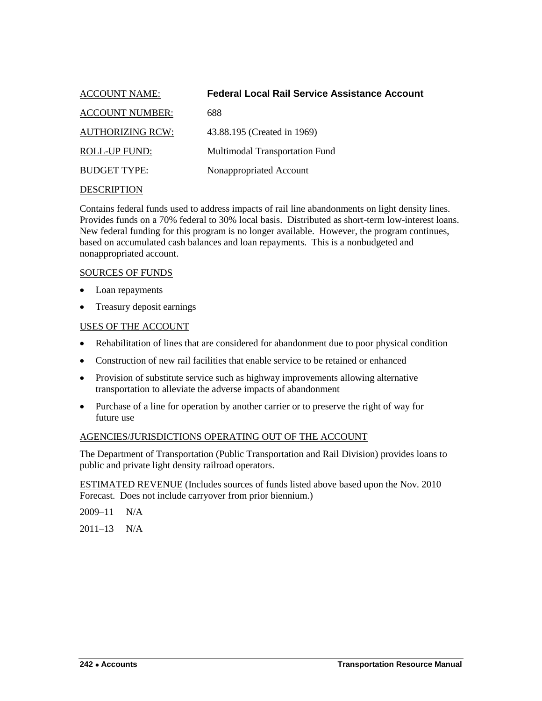<span id="page-9-0"></span>

| <b>ACCOUNT NAME:</b>    | <b>Federal Local Rail Service Assistance Account</b> |
|-------------------------|------------------------------------------------------|
| <b>ACCOUNT NUMBER:</b>  | 688                                                  |
| <b>AUTHORIZING RCW:</b> | 43.88.195 (Created in 1969)                          |
| <b>ROLL-UP FUND:</b>    | Multimodal Transportation Fund                       |
| <b>BUDGET TYPE:</b>     | Nonappropriated Account                              |
| <b>DESCRIPTION</b>      |                                                      |

Contains federal funds used to address impacts of rail line abandonments on light density lines. Provides funds on a 70% federal to 30% local basis. Distributed as short-term low-interest loans. New federal funding for this program is no longer available. However, the program continues, based on accumulated cash balances and loan repayments. This is a nonbudgeted and nonappropriated account.

#### SOURCES OF FUNDS

- Loan repayments
- Treasury deposit earnings

#### USES OF THE ACCOUNT

- Rehabilitation of lines that are considered for abandonment due to poor physical condition
- Construction of new rail facilities that enable service to be retained or enhanced
- Provision of substitute service such as highway improvements allowing alternative transportation to alleviate the adverse impacts of abandonment
- Purchase of a line for operation by another carrier or to preserve the right of way for future use

#### AGENCIES/JURISDICTIONS OPERATING OUT OF THE ACCOUNT

The Department of Transportation (Public Transportation and Rail Division) provides loans to public and private light density railroad operators.

ESTIMATED REVENUE (Includes sources of funds listed above based upon the Nov. 2010 Forecast. Does not include carryover from prior biennium.)

2009–11 N/A

 $2011-13$  N/A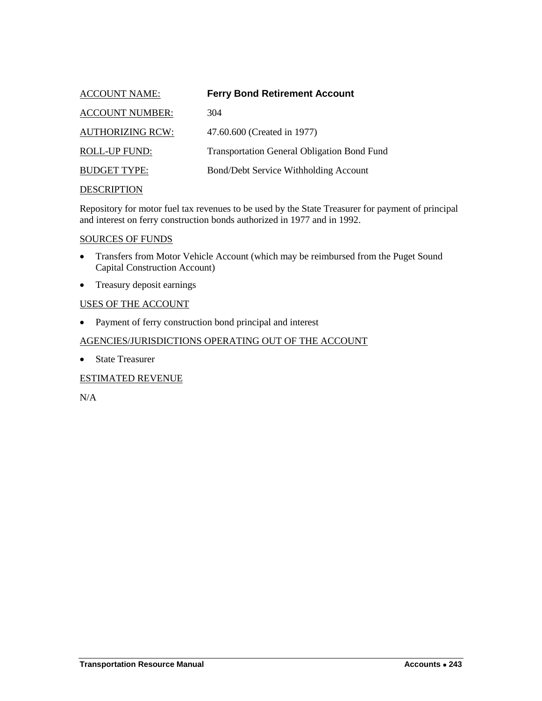<span id="page-10-0"></span>

| <b>ACCOUNT NAME:</b>    | <b>Ferry Bond Retirement Account</b>               |
|-------------------------|----------------------------------------------------|
| <b>ACCOUNT NUMBER:</b>  | 304                                                |
| <b>AUTHORIZING RCW:</b> | 47.60.600 (Created in 1977)                        |
| <b>ROLL-UP FUND:</b>    | <b>Transportation General Obligation Bond Fund</b> |
| <b>BUDGET TYPE:</b>     | Bond/Debt Service Withholding Account              |
| <b>DESCRIPTION</b>      |                                                    |

Repository for motor fuel tax revenues to be used by the State Treasurer for payment of principal and interest on ferry construction bonds authorized in 1977 and in 1992.

### SOURCES OF FUNDS

- Transfers from Motor Vehicle Account (which may be reimbursed from the Puget Sound Capital Construction Account)
- Treasury deposit earnings

### USES OF THE ACCOUNT

• Payment of ferry construction bond principal and interest

### AGENCIES/JURISDICTIONS OPERATING OUT OF THE ACCOUNT

• State Treasurer

### ESTIMATED REVENUE

N/A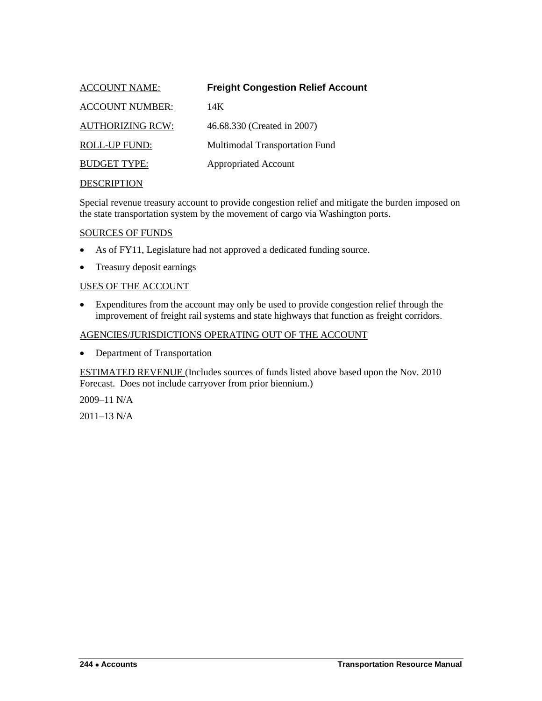<span id="page-11-0"></span>

| <b>ACCOUNT NAME:</b>    | <b>Freight Congestion Relief Account</b> |
|-------------------------|------------------------------------------|
| <b>ACCOUNT NUMBER:</b>  | 14K                                      |
| <b>AUTHORIZING RCW:</b> | 46.68.330 (Created in 2007)              |
| <b>ROLL-UP FUND:</b>    | Multimodal Transportation Fund           |
| <b>BUDGET TYPE:</b>     | <b>Appropriated Account</b>              |
|                         |                                          |

Special revenue treasury account to provide congestion relief and mitigate the burden imposed on the state transportation system by the movement of cargo via Washington ports.

#### SOURCES OF FUNDS

- As of FY11, Legislature had not approved a dedicated funding source.
- Treasury deposit earnings

### USES OF THE ACCOUNT

 Expenditures from the account may only be used to provide congestion relief through the improvement of freight rail systems and state highways that function as freight corridors.

#### AGENCIES/JURISDICTIONS OPERATING OUT OF THE ACCOUNT

• Department of Transportation

ESTIMATED REVENUE (Includes sources of funds listed above based upon the Nov. 2010 Forecast. Does not include carryover from prior biennium.)

2009–11 N/A

2011–13 N/A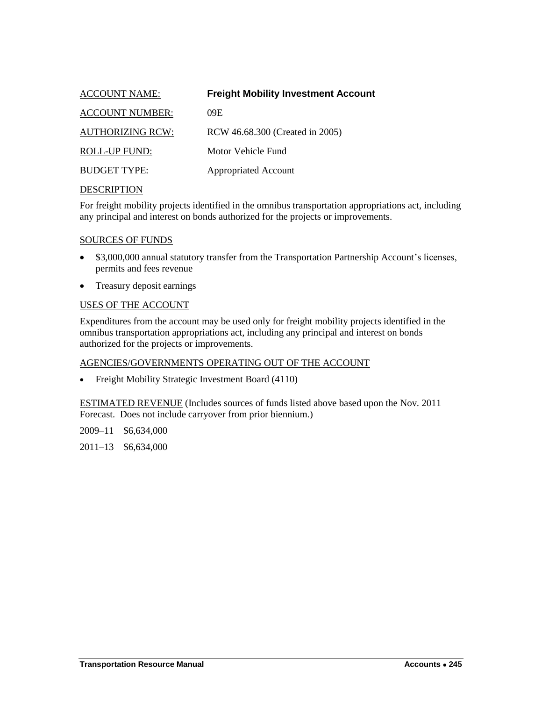<span id="page-12-0"></span>

| <b>ACCOUNT NAME:</b>    | <b>Freight Mobility Investment Account</b> |
|-------------------------|--------------------------------------------|
| <b>ACCOUNT NUMBER:</b>  | 09E                                        |
| <b>AUTHORIZING RCW:</b> | RCW 46.68.300 (Created in 2005)            |
| ROLL-UP FUND:           | Motor Vehicle Fund                         |
| <b>BUDGET TYPE:</b>     | <b>Appropriated Account</b>                |
|                         |                                            |

For freight mobility projects identified in the omnibus transportation appropriations act, including any principal and interest on bonds authorized for the projects or improvements.

#### SOURCES OF FUNDS

- \$3,000,000 annual statutory transfer from the Transportation Partnership Account's licenses, permits and fees revenue
- Treasury deposit earnings

### USES OF THE ACCOUNT

Expenditures from the account may be used only for freight mobility projects identified in the omnibus transportation appropriations act, including any principal and interest on bonds authorized for the projects or improvements.

### AGENCIES/GOVERNMENTS OPERATING OUT OF THE ACCOUNT

• Freight Mobility Strategic Investment Board (4110)

ESTIMATED REVENUE (Includes sources of funds listed above based upon the Nov. 2011 Forecast. Does not include carryover from prior biennium.)

2009–11 \$6,634,000

2011–13 \$6,634,000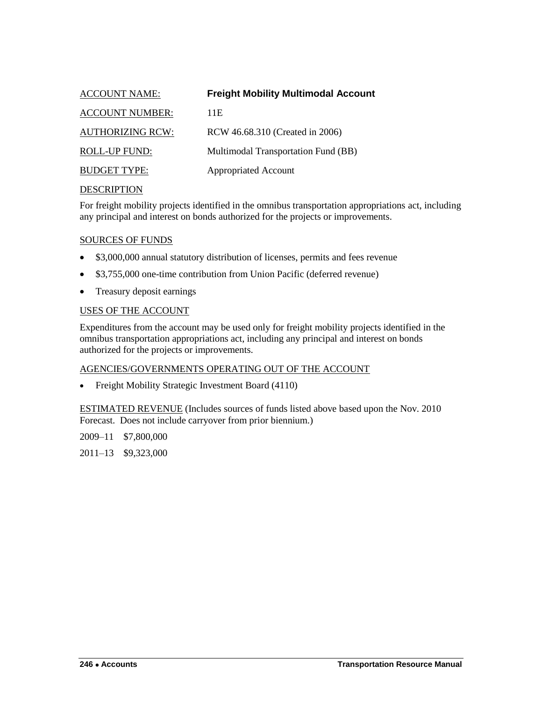<span id="page-13-0"></span>

| <b>ACCOUNT NAME:</b>    | <b>Freight Mobility Multimodal Account</b> |
|-------------------------|--------------------------------------------|
| <b>ACCOUNT NUMBER:</b>  | 11E                                        |
| <b>AUTHORIZING RCW:</b> | RCW 46.68.310 (Created in 2006)            |
| ROLL-UP FUND:           | Multimodal Transportation Fund (BB)        |
| <b>BUDGET TYPE:</b>     | <b>Appropriated Account</b>                |
|                         |                                            |

For freight mobility projects identified in the omnibus transportation appropriations act, including any principal and interest on bonds authorized for the projects or improvements.

#### SOURCES OF FUNDS

- \$3,000,000 annual statutory distribution of licenses, permits and fees revenue
- \$3,755,000 one-time contribution from Union Pacific (deferred revenue)
- Treasury deposit earnings

### USES OF THE ACCOUNT

Expenditures from the account may be used only for freight mobility projects identified in the omnibus transportation appropriations act, including any principal and interest on bonds authorized for the projects or improvements.

### AGENCIES/GOVERNMENTS OPERATING OUT OF THE ACCOUNT

Freight Mobility Strategic Investment Board (4110)

ESTIMATED REVENUE (Includes sources of funds listed above based upon the Nov. 2010 Forecast. Does not include carryover from prior biennium.)

2009–11 \$7,800,000

2011–13 \$9,323,000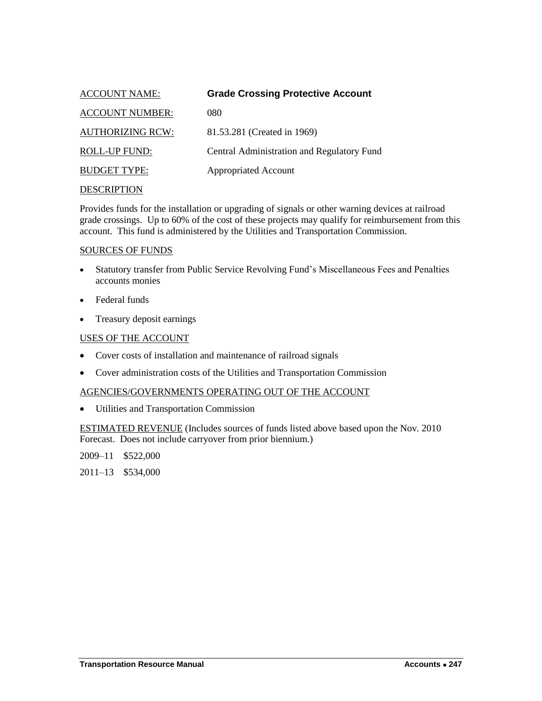<span id="page-14-0"></span>

| <b>ACCOUNT NAME:</b>    | <b>Grade Crossing Protective Account</b>   |
|-------------------------|--------------------------------------------|
| <b>ACCOUNT NUMBER:</b>  | 080                                        |
| <b>AUTHORIZING RCW:</b> | 81.53.281 (Created in 1969)                |
| <b>ROLL-UP FUND:</b>    | Central Administration and Regulatory Fund |
| <b>BUDGET TYPE:</b>     | <b>Appropriated Account</b>                |
|                         |                                            |

Provides funds for the installation or upgrading of signals or other warning devices at railroad grade crossings. Up to 60% of the cost of these projects may qualify for reimbursement from this account. This fund is administered by the Utilities and Transportation Commission.

#### SOURCES OF FUNDS

- Statutory transfer from Public Service Revolving Fund's Miscellaneous Fees and Penalties accounts monies
- Federal funds
- Treasury deposit earnings

### USES OF THE ACCOUNT

- Cover costs of installation and maintenance of railroad signals
- Cover administration costs of the Utilities and Transportation Commission

### AGENCIES/GOVERNMENTS OPERATING OUT OF THE ACCOUNT

Utilities and Transportation Commission

ESTIMATED REVENUE (Includes sources of funds listed above based upon the Nov. 2010 Forecast. Does not include carryover from prior biennium.)

2009–11 \$522,000

2011–13 \$534,000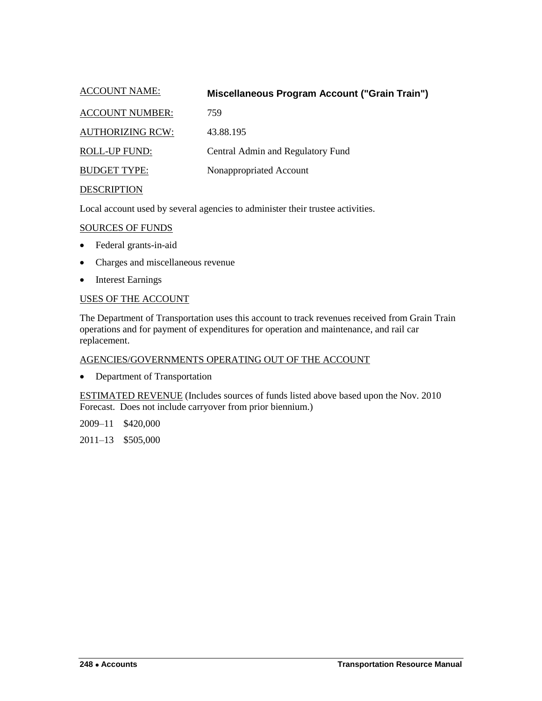<span id="page-15-0"></span>

| <b>ACCOUNT NAME:</b>    | Miscellaneous Program Account ("Grain Train") |
|-------------------------|-----------------------------------------------|
| <b>ACCOUNT NUMBER:</b>  | 759                                           |
| <b>AUTHORIZING RCW:</b> | 43.88.195                                     |
| <b>ROLL-UP FUND:</b>    | Central Admin and Regulatory Fund             |
| <b>BUDGET TYPE:</b>     | Nonappropriated Account                       |
| <b>DESCRIPTION</b>      |                                               |

Local account used by several agencies to administer their trustee activities.

#### SOURCES OF FUNDS

- Federal grants-in-aid
- Charges and miscellaneous revenue
- Interest Earnings

#### USES OF THE ACCOUNT

The Department of Transportation uses this account to track revenues received from Grain Train operations and for payment of expenditures for operation and maintenance, and rail car replacement.

#### AGENCIES/GOVERNMENTS OPERATING OUT OF THE ACCOUNT

• Department of Transportation

ESTIMATED REVENUE (Includes sources of funds listed above based upon the Nov. 2010 Forecast. Does not include carryover from prior biennium.)

2009–11 \$420,000

2011–13 \$505,000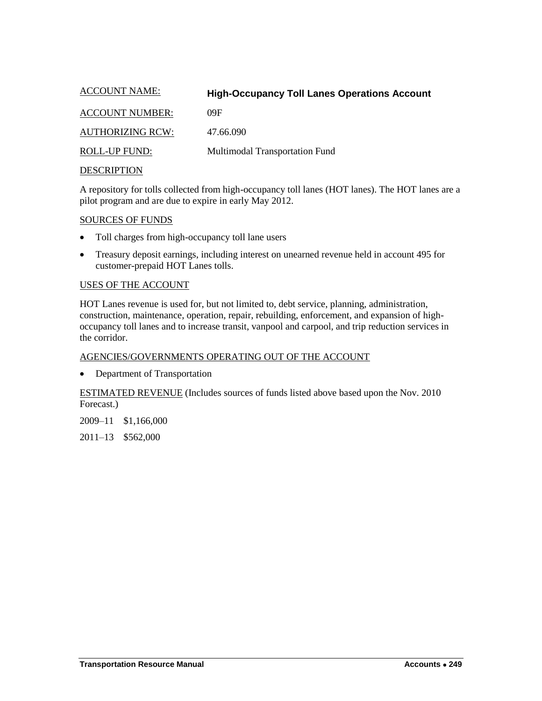<span id="page-16-0"></span>

| <b>ACCOUNT NAME:</b>    | <b>High-Occupancy Toll Lanes Operations Account</b> |
|-------------------------|-----------------------------------------------------|
| <b>ACCOUNT NUMBER:</b>  | 09F                                                 |
| <b>AUTHORIZING RCW:</b> | 47.66.090                                           |
| <b>ROLL-UP FUND:</b>    | Multimodal Transportation Fund                      |
| <b>DESCRIPTION</b>      |                                                     |

A repository for tolls collected from high-occupancy toll lanes (HOT lanes). The HOT lanes are a pilot program and are due to expire in early May 2012.

#### SOURCES OF FUNDS

- Toll charges from high-occupancy toll lane users
- Treasury deposit earnings, including interest on unearned revenue held in account 495 for customer-prepaid HOT Lanes tolls.

#### USES OF THE ACCOUNT

HOT Lanes revenue is used for, but not limited to, debt service, planning, administration, construction, maintenance, operation, repair, rebuilding, enforcement, and expansion of highoccupancy toll lanes and to increase transit, vanpool and carpool, and trip reduction services in the corridor.

#### AGENCIES/GOVERNMENTS OPERATING OUT OF THE ACCOUNT

• Department of Transportation

ESTIMATED REVENUE (Includes sources of funds listed above based upon the Nov. 2010 Forecast.)

2009–11 \$1,166,000

2011–13 \$562,000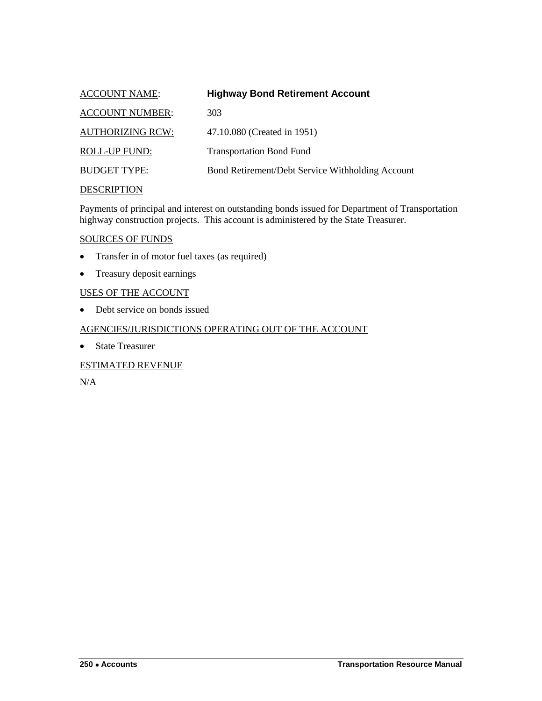<span id="page-17-0"></span>

| <b>ACCOUNT NAME:</b>    | <b>Highway Bond Retirement Account</b>           |
|-------------------------|--------------------------------------------------|
| <b>ACCOUNT NUMBER:</b>  | 303                                              |
| <b>AUTHORIZING RCW:</b> | 47.10.080 (Created in 1951)                      |
| <b>ROLL-UP FUND:</b>    | <b>Transportation Bond Fund</b>                  |
| <b>BUDGET TYPE:</b>     | Bond Retirement/Debt Service Withholding Account |
| <b>DESCRIPTION</b>      |                                                  |

Payments of principal and interest on outstanding bonds issued for Department of Transportation highway construction projects. This account is administered by the State Treasurer.

### SOURCES OF FUNDS

- Transfer in of motor fuel taxes (as required)
- Treasury deposit earnings

### USES OF THE ACCOUNT

• Debt service on bonds issued

#### AGENCIES/JURISDICTIONS OPERATING OUT OF THE ACCOUNT

• State Treasurer

### ESTIMATED REVENUE

 $N/A$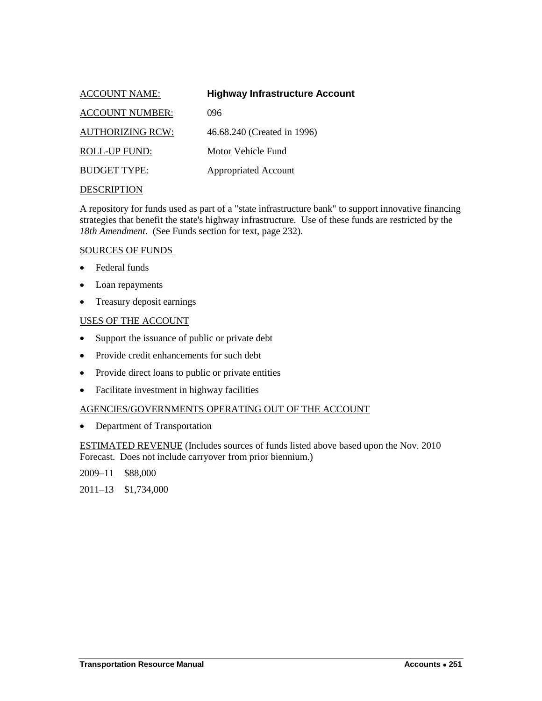<span id="page-18-0"></span>

| <b>ACCOUNT NAME:</b>    | <b>Highway Infrastructure Account</b> |
|-------------------------|---------------------------------------|
| <b>ACCOUNT NUMBER:</b>  | 096                                   |
| <b>AUTHORIZING RCW:</b> | 46.68.240 (Created in 1996)           |
| ROLL-UP FUND:           | Motor Vehicle Fund                    |
| <b>BUDGET TYPE:</b>     | <b>Appropriated Account</b>           |
|                         |                                       |

A repository for funds used as part of a "state infrastructure bank" to support innovative financing strategies that benefit the state's highway infrastructure. Use of these funds are restricted by the *18th Amendment.* (See Funds section for text, page 232)*.*

#### SOURCES OF FUNDS

- Federal funds
- Loan repayments
- Treasury deposit earnings

#### USES OF THE ACCOUNT

- Support the issuance of public or private debt
- Provide credit enhancements for such debt
- Provide direct loans to public or private entities
- Facilitate investment in highway facilities

### AGENCIES/GOVERNMENTS OPERATING OUT OF THE ACCOUNT

• Department of Transportation

ESTIMATED REVENUE (Includes sources of funds listed above based upon the Nov. 2010 Forecast. Does not include carryover from prior biennium.)

2009–11 \$88,000

2011–13 \$1,734,000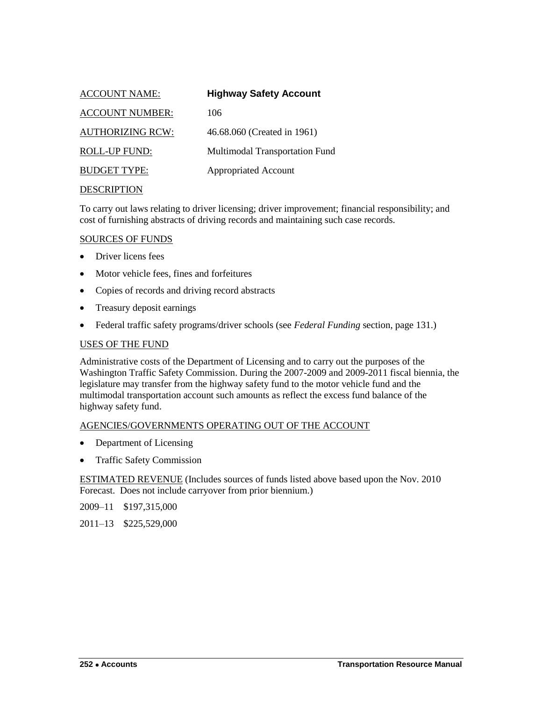<span id="page-19-0"></span>

| <b>ACCOUNT NAME:</b>    | <b>Highway Safety Account</b>  |
|-------------------------|--------------------------------|
| <b>ACCOUNT NUMBER:</b>  | 106                            |
| <b>AUTHORIZING RCW:</b> | 46.68.060 (Created in 1961)    |
| <b>ROLL-UP FUND:</b>    | Multimodal Transportation Fund |
| <b>BUDGET TYPE:</b>     | <b>Appropriated Account</b>    |
|                         |                                |

To carry out laws relating to driver licensing; driver improvement; financial responsibility; and cost of furnishing abstracts of driving records and maintaining such case records.

#### SOURCES OF FUNDS

- Driver licens fees
- Motor vehicle fees, fines and forfeitures
- Copies of records and driving record abstracts
- Treasury deposit earnings
- Federal traffic safety programs/driver schools (see *Federal Funding* section, page 131.)

### USES OF THE FUND

Administrative costs of the Department of Licensing and to carry out the purposes of the Washington Traffic Safety Commission. During the 2007-2009 and 2009-2011 fiscal biennia, the legislature may transfer from the highway safety fund to the motor vehicle fund and the multimodal transportation account such amounts as reflect the excess fund balance of the highway safety fund.

### AGENCIES/GOVERNMENTS OPERATING OUT OF THE ACCOUNT

- Department of Licensing
- Traffic Safety Commission

ESTIMATED REVENUE (Includes sources of funds listed above based upon the Nov. 2010 Forecast. Does not include carryover from prior biennium.)

2009–11 \$197,315,000

2011–13 \$225,529,000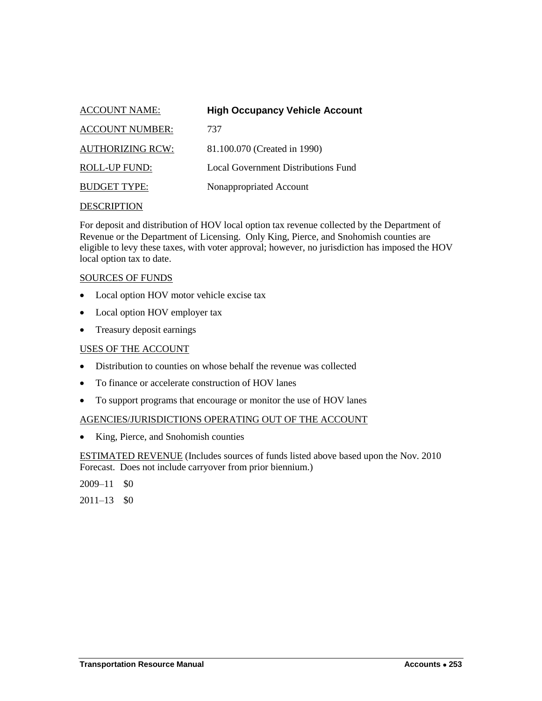<span id="page-20-0"></span>

| <b>ACCOUNT NAME:</b>    | <b>High Occupancy Vehicle Account</b> |
|-------------------------|---------------------------------------|
| <b>ACCOUNT NUMBER:</b>  | 737                                   |
| <b>AUTHORIZING RCW:</b> | 81.100.070 (Created in 1990)          |
| <b>ROLL-UP FUND:</b>    | Local Government Distributions Fund   |
| <b>BUDGET TYPE:</b>     | Nonappropriated Account               |

For deposit and distribution of HOV local option tax revenue collected by the Department of Revenue or the Department of Licensing. Only King, Pierce, and Snohomish counties are eligible to levy these taxes, with voter approval; however, no jurisdiction has imposed the HOV local option tax to date.

#### SOURCES OF FUNDS

- Local option HOV motor vehicle excise tax
- Local option HOV employer tax
- Treasury deposit earnings

#### USES OF THE ACCOUNT

- Distribution to counties on whose behalf the revenue was collected
- To finance or accelerate construction of HOV lanes
- To support programs that encourage or monitor the use of HOV lanes

#### AGENCIES/JURISDICTIONS OPERATING OUT OF THE ACCOUNT

• King, Pierce, and Snohomish counties

ESTIMATED REVENUE (Includes sources of funds listed above based upon the Nov. 2010 Forecast. Does not include carryover from prior biennium.)

2009–11 \$0

 $2011 - 13$  \$0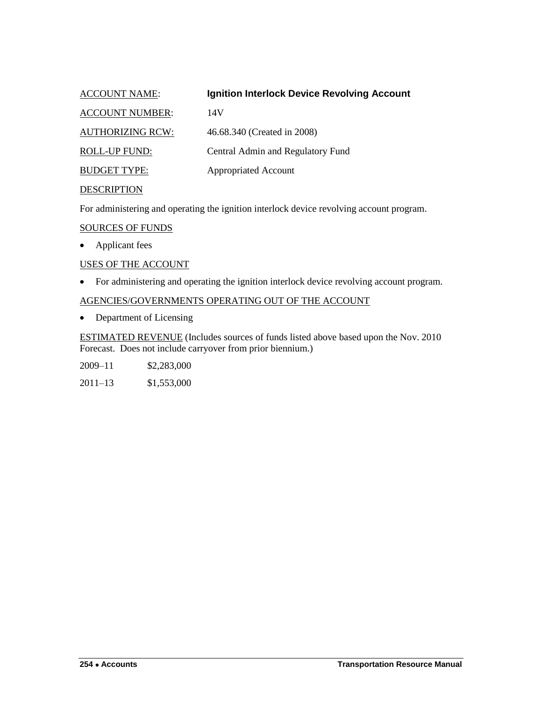<span id="page-21-0"></span>

| <b>ACCOUNT NAME:</b>    | <b>Ignition Interlock Device Revolving Account</b> |
|-------------------------|----------------------------------------------------|
| <b>ACCOUNT NUMBER:</b>  | 14V                                                |
| <b>AUTHORIZING RCW:</b> | 46.68.340 (Created in 2008)                        |
| <b>ROLL-UP FUND:</b>    | Central Admin and Regulatory Fund                  |
| <b>BUDGET TYPE:</b>     | <b>Appropriated Account</b>                        |
| <b>DESCRIPTION</b>      |                                                    |

For administering and operating the ignition interlock device revolving account program.

### SOURCES OF FUNDS

• Applicant fees

### USES OF THE ACCOUNT

For administering and operating the ignition interlock device revolving account program.

### AGENCIES/GOVERNMENTS OPERATING OUT OF THE ACCOUNT

• Department of Licensing

ESTIMATED REVENUE (Includes sources of funds listed above based upon the Nov. 2010 Forecast. Does not include carryover from prior biennium.)

2009–11 \$2,283,000

2011–13 \$1,553,000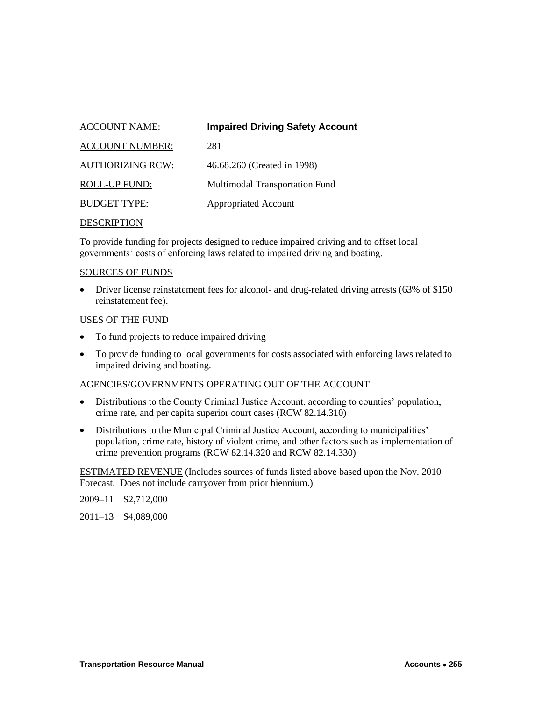<span id="page-22-0"></span>

| <b>ACCOUNT NAME:</b>    | <b>Impaired Driving Safety Account</b> |
|-------------------------|----------------------------------------|
| <b>ACCOUNT NUMBER:</b>  | 281                                    |
| <b>AUTHORIZING RCW:</b> | 46.68.260 (Created in 1998)            |
| <b>ROLL-UP FUND:</b>    | Multimodal Transportation Fund         |
| <b>BUDGET TYPE:</b>     | <b>Appropriated Account</b>            |

To provide funding for projects designed to reduce impaired driving and to offset local governments' costs of enforcing laws related to impaired driving and boating.

#### SOURCES OF FUNDS

• Driver license reinstatement fees for alcohol- and drug-related driving arrests (63% of \$150 reinstatement fee).

#### USES OF THE FUND

- To fund projects to reduce impaired driving
- To provide funding to local governments for costs associated with enforcing laws related to impaired driving and boating.

#### AGENCIES/GOVERNMENTS OPERATING OUT OF THE ACCOUNT

- Distributions to the County Criminal Justice Account, according to counties' population, crime rate, and per capita superior court cases (RCW 82.14.310)
- Distributions to the Municipal Criminal Justice Account, according to municipalities' population, crime rate, history of violent crime, and other factors such as implementation of crime prevention programs (RCW 82.14.320 and RCW 82.14.330)

ESTIMATED REVENUE (Includes sources of funds listed above based upon the Nov. 2010 Forecast. Does not include carryover from prior biennium.)

2009–11 \$2,712,000

2011–13 \$4,089,000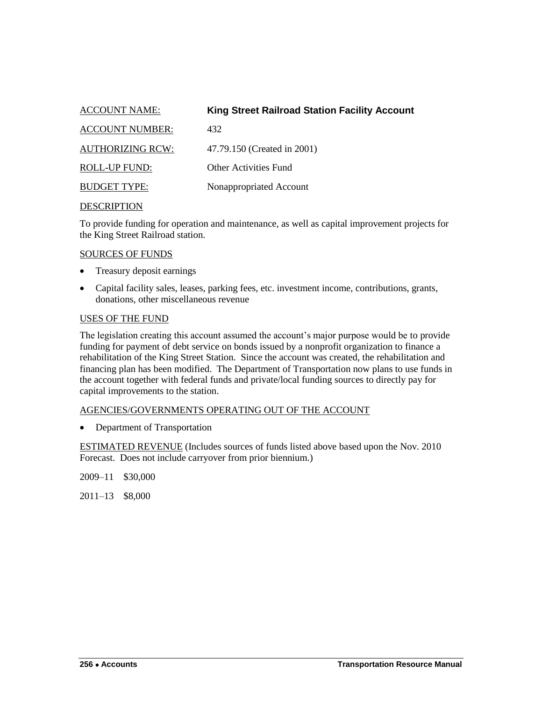<span id="page-23-0"></span>

| <b>ACCOUNT NAME:</b>    | <b>King Street Railroad Station Facility Account</b> |
|-------------------------|------------------------------------------------------|
| <b>ACCOUNT NUMBER:</b>  | 432                                                  |
| <b>AUTHORIZING RCW:</b> | 47.79.150 (Created in 2001)                          |
| ROLL-UP FUND:           | <b>Other Activities Fund</b>                         |
| <b>BUDGET TYPE:</b>     | Nonappropriated Account                              |

To provide funding for operation and maintenance, as well as capital improvement projects for the King Street Railroad station.

#### SOURCES OF FUNDS

- Treasury deposit earnings
- Capital facility sales, leases, parking fees, etc. investment income, contributions, grants, donations, other miscellaneous revenue

### USES OF THE FUND

The legislation creating this account assumed the account's major purpose would be to provide funding for payment of debt service on bonds issued by a nonprofit organization to finance a rehabilitation of the King Street Station. Since the account was created, the rehabilitation and financing plan has been modified. The Department of Transportation now plans to use funds in the account together with federal funds and private/local funding sources to directly pay for capital improvements to the station.

#### AGENCIES/GOVERNMENTS OPERATING OUT OF THE ACCOUNT

• Department of Transportation

ESTIMATED REVENUE (Includes sources of funds listed above based upon the Nov. 2010 Forecast. Does not include carryover from prior biennium.)

2009–11 \$30,000

2011–13 \$8,000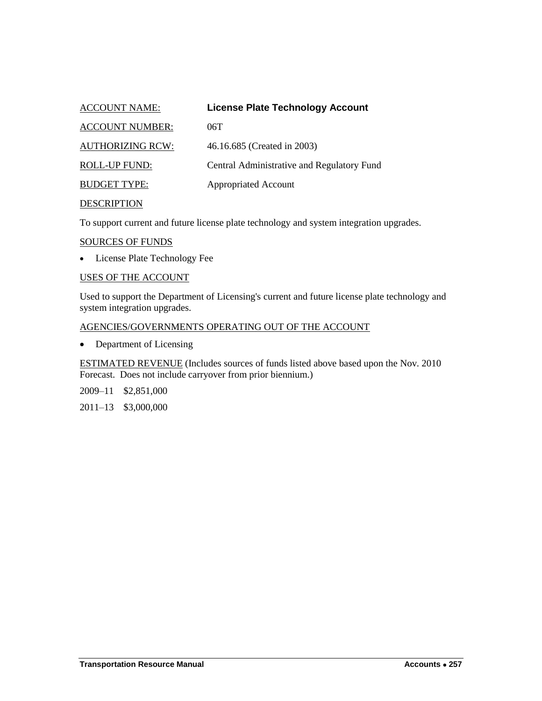<span id="page-24-0"></span>

| <b>ACCOUNT NAME:</b>    | <b>License Plate Technology Account</b>    |
|-------------------------|--------------------------------------------|
| <b>ACCOUNT NUMBER:</b>  | 06T                                        |
| <b>AUTHORIZING RCW:</b> | 46.16.685 (Created in 2003)                |
| <b>ROLL-UP FUND:</b>    | Central Administrative and Regulatory Fund |
| <b>BUDGET TYPE:</b>     | <b>Appropriated Account</b>                |
|                         |                                            |

To support current and future license plate technology and system integration upgrades.

#### SOURCES OF FUNDS

License Plate Technology Fee

### USES OF THE ACCOUNT

Used to support the Department of Licensing's current and future license plate technology and system integration upgrades.

### AGENCIES/GOVERNMENTS OPERATING OUT OF THE ACCOUNT

• Department of Licensing

ESTIMATED REVENUE (Includes sources of funds listed above based upon the Nov. 2010 Forecast. Does not include carryover from prior biennium.)

2009–11 \$2,851,000

2011–13 \$3,000,000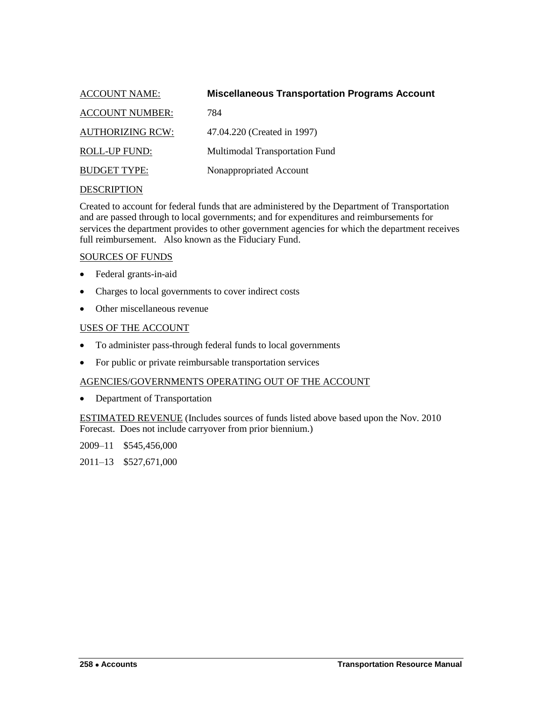<span id="page-25-0"></span>

| <b>ACCOUNT NAME:</b>    | <b>Miscellaneous Transportation Programs Account</b> |
|-------------------------|------------------------------------------------------|
| <b>ACCOUNT NUMBER:</b>  | 784                                                  |
| <b>AUTHORIZING RCW:</b> | 47.04.220 (Created in 1997)                          |
| <b>ROLL-UP FUND:</b>    | Multimodal Transportation Fund                       |
| <b>BUDGET TYPE:</b>     | Nonappropriated Account                              |

Created to account for federal funds that are administered by the Department of Transportation and are passed through to local governments; and for expenditures and reimbursements for services the department provides to other government agencies for which the department receives full reimbursement. Also known as the Fiduciary Fund.

#### SOURCES OF FUNDS

- Federal grants-in-aid
- Charges to local governments to cover indirect costs
- Other miscellaneous revenue

#### USES OF THE ACCOUNT

- To administer pass-through federal funds to local governments
- For public or private reimbursable transportation services

### AGENCIES/GOVERNMENTS OPERATING OUT OF THE ACCOUNT

• Department of Transportation

ESTIMATED REVENUE (Includes sources of funds listed above based upon the Nov. 2010 Forecast. Does not include carryover from prior biennium.)

2009–11 \$545,456,000

2011–13 \$527,671,000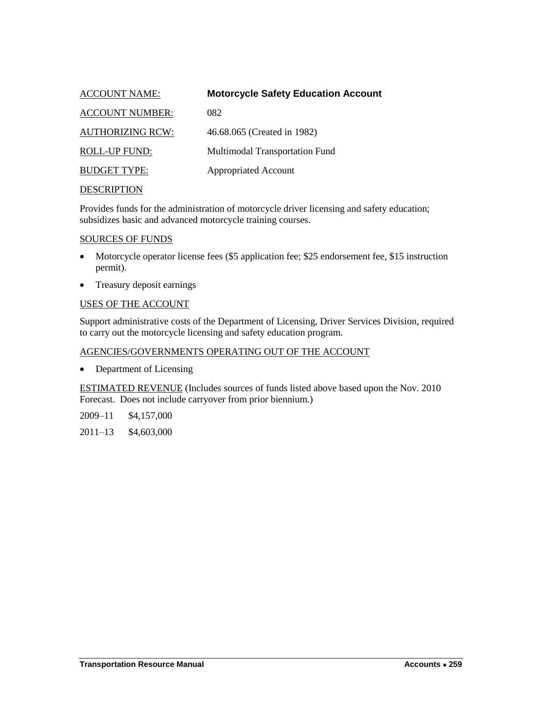<span id="page-26-0"></span>

| <b>ACCOUNT NAME:</b>    | <b>Motorcycle Safety Education Account</b> |
|-------------------------|--------------------------------------------|
| <b>ACCOUNT NUMBER:</b>  | 082                                        |
| <b>AUTHORIZING RCW:</b> | 46.68.065 (Created in 1982)                |
| <b>ROLL-UP FUND:</b>    | Multimodal Transportation Fund             |
| <b>BUDGET TYPE:</b>     | <b>Appropriated Account</b>                |
|                         |                                            |

Provides funds for the administration of motorcycle driver licensing and safety education; subsidizes basic and advanced motorcycle training courses.

#### SOURCES OF FUNDS

- Motorcycle operator license fees (\$5 application fee; \$25 endorsement fee, \$15 instruction permit).
- Treasury deposit earnings

### USES OF THE ACCOUNT

Support administrative costs of the Department of Licensing, Driver Services Division, required to carry out the motorcycle licensing and safety education program.

### AGENCIES/GOVERNMENTS OPERATING OUT OF THE ACCOUNT

• Department of Licensing

ESTIMATED REVENUE (Includes sources of funds listed above based upon the Nov. 2010 Forecast. Does not include carryover from prior biennium.)

2009–11 \$4,157,000

2011–13 \$4,603,000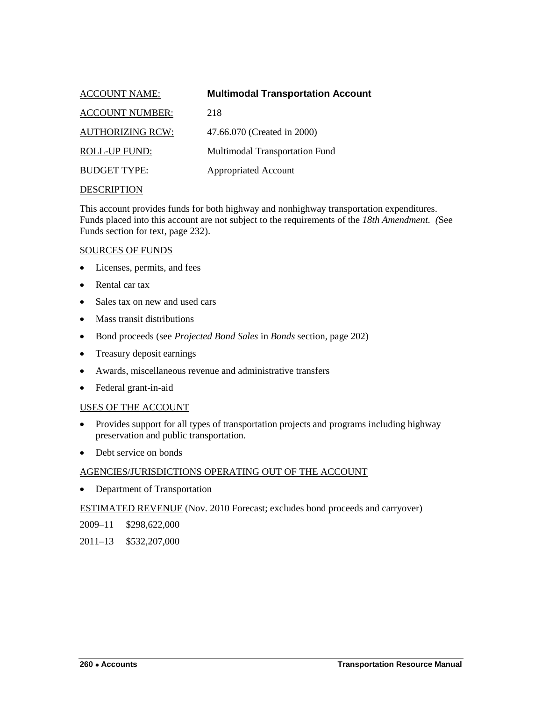<span id="page-27-0"></span>

| <b>ACCOUNT NAME:</b>    | <b>Multimodal Transportation Account</b> |
|-------------------------|------------------------------------------|
| <b>ACCOUNT NUMBER:</b>  | 218                                      |
| <b>AUTHORIZING RCW:</b> | 47.66.070 (Created in 2000)              |
| ROLL-UP FUND:           | Multimodal Transportation Fund           |
| <b>BUDGET TYPE:</b>     | <b>Appropriated Account</b>              |
|                         |                                          |

This account provides funds for both highway and nonhighway transportation expenditures. Funds placed into this account are not subject to the requirements of the *18th Amendment. (*See Funds section for text, page 232).

#### SOURCES OF FUNDS

- Licenses, permits, and fees
- Rental car tax
- Sales tax on new and used cars
- Mass transit distributions
- Bond proceeds (see *Projected Bond Sales* in *Bonds* section, page 202)
- Treasury deposit earnings
- Awards, miscellaneous revenue and administrative transfers
- Federal grant-in-aid

#### USES OF THE ACCOUNT

- Provides support for all types of transportation projects and programs including highway preservation and public transportation.
- Debt service on bonds

### AGENCIES/JURISDICTIONS OPERATING OUT OF THE ACCOUNT

• Department of Transportation

#### ESTIMATED REVENUE (Nov. 2010 Forecast; excludes bond proceeds and carryover)

2009–11 \$298,622,000

2011–13 \$532,207,000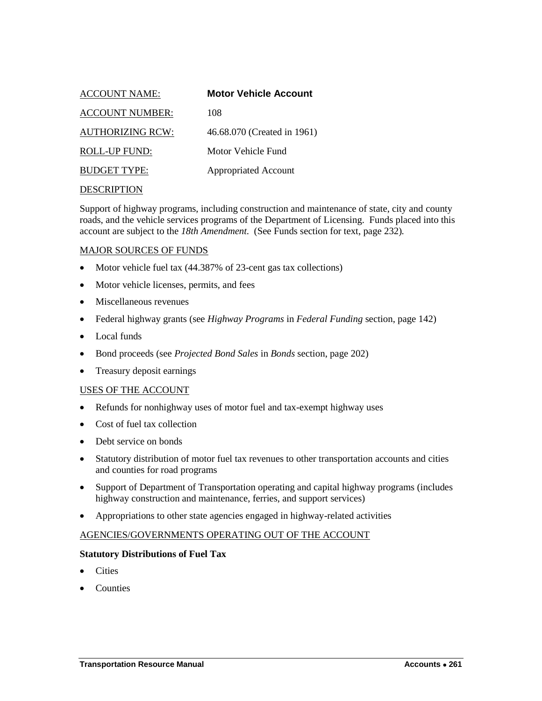<span id="page-28-0"></span>

| <b>ACCOUNT NAME:</b>    | <b>Motor Vehicle Account</b> |
|-------------------------|------------------------------|
| <b>ACCOUNT NUMBER:</b>  | 108                          |
| <b>AUTHORIZING RCW:</b> | 46.68.070 (Created in 1961)  |
| <b>ROLL-UP FUND:</b>    | Motor Vehicle Fund           |
| <b>BUDGET TYPE:</b>     | <b>Appropriated Account</b>  |
|                         |                              |

Support of highway programs, including construction and maintenance of state, city and county roads, and the vehicle services programs of the Department of Licensing. Funds placed into this account are subject to the *18th Amendment.* (See Funds section for text, page 232)*.*

### MAJOR SOURCES OF FUNDS

- Motor vehicle fuel tax (44.387% of 23-cent gas tax collections)
- Motor vehicle licenses, permits, and fees
- Miscellaneous revenues
- Federal highway grants (see *Highway Programs* in *Federal Funding* section, page 142)
- Local funds
- Bond proceeds (see *Projected Bond Sales* in *Bonds* section, page 202)
- Treasury deposit earnings

#### USES OF THE ACCOUNT

- Refunds for nonhighway uses of motor fuel and tax-exempt highway uses
- Cost of fuel tax collection
- Debt service on bonds
- Statutory distribution of motor fuel tax revenues to other transportation accounts and cities and counties for road programs
- Support of Department of Transportation operating and capital highway programs (includes highway construction and maintenance, ferries, and support services)
- Appropriations to other state agencies engaged in highway-related activities

#### AGENCIES/GOVERNMENTS OPERATING OUT OF THE ACCOUNT

#### **Statutory Distributions of Fuel Tax**

- **Cities**
- Counties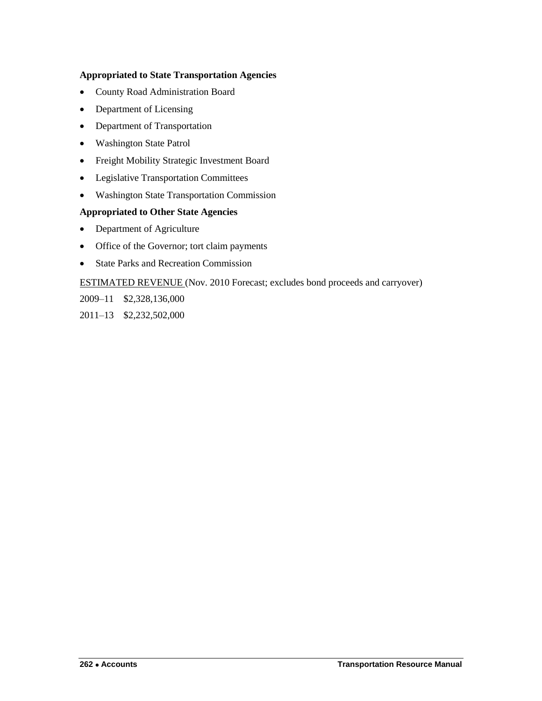### **Appropriated to State Transportation Agencies**

- County Road Administration Board
- Department of Licensing
- Department of Transportation
- Washington State Patrol
- Freight Mobility Strategic Investment Board
- Legislative Transportation Committees
- Washington State Transportation Commission

### **Appropriated to Other State Agencies**

- Department of Agriculture
- Office of the Governor; tort claim payments
- State Parks and Recreation Commission

ESTIMATED REVENUE (Nov. 2010 Forecast; excludes bond proceeds and carryover)

2009–11 \$2,328,136,000

2011–13 \$2,232,502,000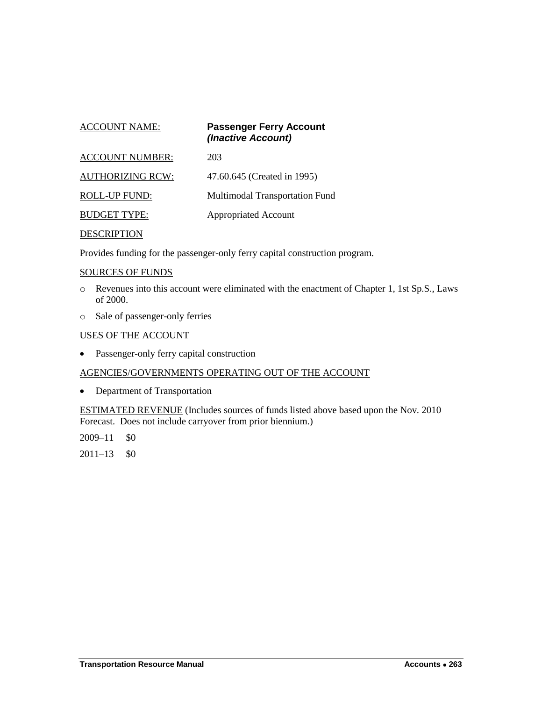<span id="page-30-0"></span>

| <b>ACCOUNT NAME:</b>    | <b>Passenger Ferry Account</b><br>(Inactive Account) |
|-------------------------|------------------------------------------------------|
| <b>ACCOUNT NUMBER:</b>  | 203                                                  |
| <b>AUTHORIZING RCW:</b> | 47.60.645 (Created in 1995)                          |
| <b>ROLL-UP FUND:</b>    | Multimodal Transportation Fund                       |
| <b>BUDGET TYPE:</b>     | <b>Appropriated Account</b>                          |

Provides funding for the passenger-only ferry capital construction program.

#### SOURCES OF FUNDS

- o Revenues into this account were eliminated with the enactment of Chapter 1, 1st Sp.S., Laws of 2000.
- o Sale of passenger-only ferries

### USES OF THE ACCOUNT

Passenger-only ferry capital construction

### AGENCIES/GOVERNMENTS OPERATING OUT OF THE ACCOUNT

• Department of Transportation

ESTIMATED REVENUE (Includes sources of funds listed above based upon the Nov. 2010 Forecast. Does not include carryover from prior biennium.)

2009–11 \$0

 $2011-13$  \$0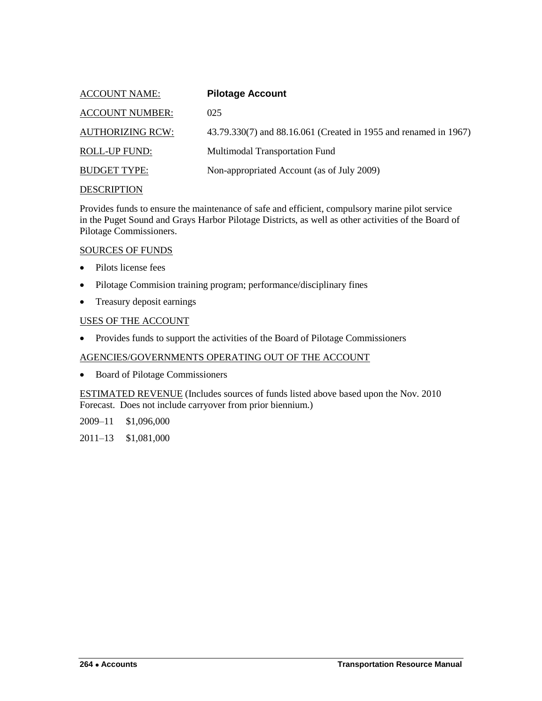<span id="page-31-0"></span>

| <b>ACCOUNT NAME:</b>    | <b>Pilotage Account</b>                                          |
|-------------------------|------------------------------------------------------------------|
| <b>ACCOUNT NUMBER:</b>  | 025                                                              |
| <b>AUTHORIZING RCW:</b> | 43.79.330(7) and 88.16.061 (Created in 1955 and renamed in 1967) |
| <b>ROLL-UP FUND:</b>    | Multimodal Transportation Fund                                   |
| <b>BUDGET TYPE:</b>     | Non-appropriated Account (as of July 2009)                       |
| <b>DESCRIPTION</b>      |                                                                  |

Provides funds to ensure the maintenance of safe and efficient, compulsory marine pilot service in the Puget Sound and Grays Harbor Pilotage Districts, as well as other activities of the Board of Pilotage Commissioners.

#### SOURCES OF FUNDS

- Pilots license fees
- Pilotage Commision training program; performance/disciplinary fines
- Treasury deposit earnings

### USES OF THE ACCOUNT

• Provides funds to support the activities of the Board of Pilotage Commissioners

### AGENCIES/GOVERNMENTS OPERATING OUT OF THE ACCOUNT

Board of Pilotage Commissioners

ESTIMATED REVENUE (Includes sources of funds listed above based upon the Nov. 2010 Forecast. Does not include carryover from prior biennium.)

2009–11 \$1,096,000

2011–13 \$1,081,000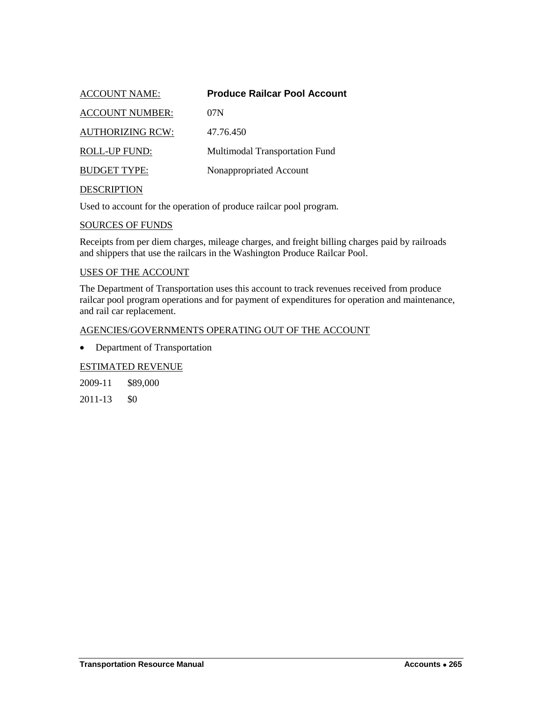<span id="page-32-0"></span>

| <b>ACCOUNT NAME:</b>    | <b>Produce Railcar Pool Account</b>   |
|-------------------------|---------------------------------------|
| <b>ACCOUNT NUMBER:</b>  | 07N                                   |
| <b>AUTHORIZING RCW:</b> | 47.76.450                             |
| <b>ROLL-UP FUND:</b>    | <b>Multimodal Transportation Fund</b> |
| <b>BUDGET TYPE:</b>     | Nonappropriated Account               |
| <b>DESCRIPTION</b>      |                                       |

Used to account for the operation of produce railcar pool program.

#### SOURCES OF FUNDS

Receipts from per diem charges, mileage charges, and freight billing charges paid by railroads and shippers that use the railcars in the Washington Produce Railcar Pool.

#### USES OF THE ACCOUNT

The Department of Transportation uses this account to track revenues received from produce railcar pool program operations and for payment of expenditures for operation and maintenance, and rail car replacement.

### AGENCIES/GOVERNMENTS OPERATING OUT OF THE ACCOUNT

• Department of Transportation

### ESTIMATED REVENUE

2009-11 \$89,000

2011-13 \$0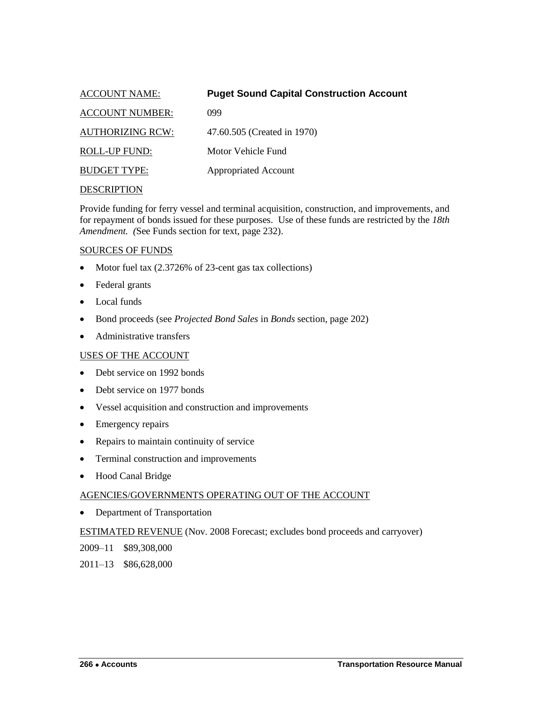<span id="page-33-0"></span>

| <b>ACCOUNT NAME:</b>    | <b>Puget Sound Capital Construction Account</b> |
|-------------------------|-------------------------------------------------|
| <b>ACCOUNT NUMBER:</b>  | 099                                             |
| <b>AUTHORIZING RCW:</b> | 47.60.505 (Created in 1970)                     |
| <b>ROLL-UP FUND:</b>    | Motor Vehicle Fund                              |
| <b>BUDGET TYPE:</b>     | <b>Appropriated Account</b>                     |
|                         |                                                 |

Provide funding for ferry vessel and terminal acquisition, construction, and improvements, and for repayment of bonds issued for these purposes. Use of these funds are restricted by the *18th Amendment. (*See Funds section for text, page 232).

#### SOURCES OF FUNDS

- Motor fuel tax (2.3726% of 23-cent gas tax collections)
- Federal grants
- Local funds
- Bond proceeds (see *Projected Bond Sales* in *Bonds* section, page 202)
- Administrative transfers

### USES OF THE ACCOUNT

- Debt service on 1992 bonds
- Debt service on 1977 bonds
- Vessel acquisition and construction and improvements
- Emergency repairs
- Repairs to maintain continuity of service
- Terminal construction and improvements
- Hood Canal Bridge

#### AGENCIES/GOVERNMENTS OPERATING OUT OF THE ACCOUNT

• Department of Transportation

#### ESTIMATED REVENUE (Nov. 2008 Forecast; excludes bond proceeds and carryover)

- 2009–11 \$89,308,000
- 2011–13 \$86,628,000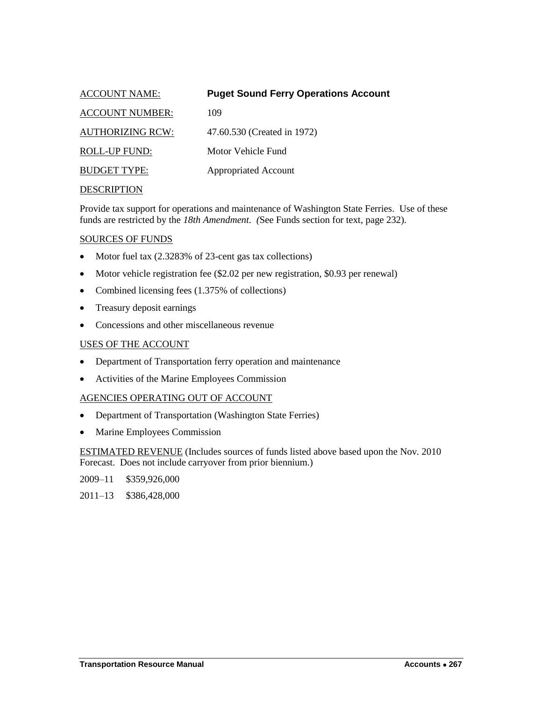<span id="page-34-0"></span>

| <b>ACCOUNT NAME:</b>    | <b>Puget Sound Ferry Operations Account</b> |
|-------------------------|---------------------------------------------|
| <b>ACCOUNT NUMBER:</b>  | 109                                         |
| <b>AUTHORIZING RCW:</b> | 47.60.530 (Created in 1972)                 |
| ROLL-UP FUND:           | Motor Vehicle Fund                          |
| <b>BUDGET TYPE:</b>     | <b>Appropriated Account</b>                 |
| <b>DESCRIPTION</b>      |                                             |

Provide tax support for operations and maintenance of Washington State Ferries. Use of these funds are restricted by the *18th Amendment. (*See Funds section for text, page 232).

#### SOURCES OF FUNDS

- Motor fuel tax (2.3283% of 23-cent gas tax collections)
- Motor vehicle registration fee (\$2.02 per new registration, \$0.93 per renewal)
- Combined licensing fees (1.375% of collections)
- Treasury deposit earnings
- Concessions and other miscellaneous revenue

### USES OF THE ACCOUNT

- Department of Transportation ferry operation and maintenance
- Activities of the Marine Employees Commission

#### AGENCIES OPERATING OUT OF ACCOUNT

- Department of Transportation (Washington State Ferries)
- Marine Employees Commission

ESTIMATED REVENUE (Includes sources of funds listed above based upon the Nov. 2010 Forecast. Does not include carryover from prior biennium.)

- 2009–11 \$359,926,000
- 2011–13 \$386,428,000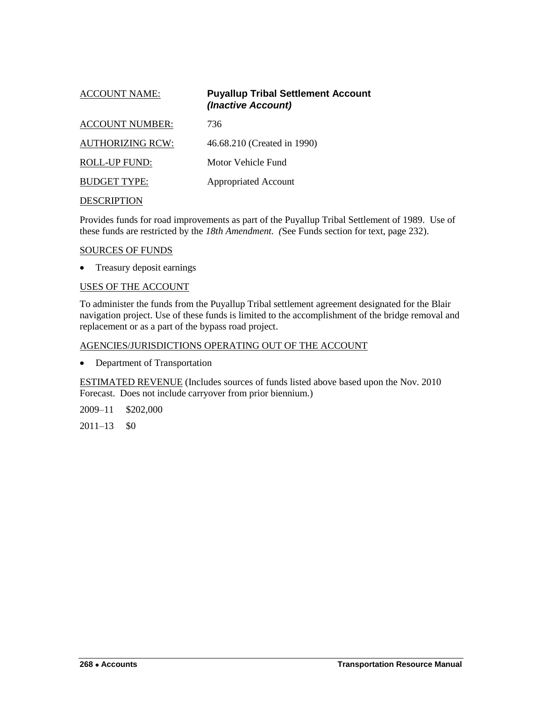<span id="page-35-0"></span>

| <b>ACCOUNT NAME:</b>    | <b>Puyallup Tribal Settlement Account</b><br>(Inactive Account) |
|-------------------------|-----------------------------------------------------------------|
| <b>ACCOUNT NUMBER:</b>  | 736                                                             |
| <b>AUTHORIZING RCW:</b> | 46.68.210 (Created in 1990)                                     |
| <b>ROLL-UP FUND:</b>    | Motor Vehicle Fund                                              |
| <b>BUDGET TYPE:</b>     | <b>Appropriated Account</b>                                     |
|                         |                                                                 |

Provides funds for road improvements as part of the Puyallup Tribal Settlement of 1989. Use of these funds are restricted by the *18th Amendment. (*See Funds section for text, page 232).

#### SOURCES OF FUNDS

• Treasury deposit earnings

### USES OF THE ACCOUNT

To administer the funds from the Puyallup Tribal settlement agreement designated for the Blair navigation project. Use of these funds is limited to the accomplishment of the bridge removal and replacement or as a part of the bypass road project.

#### AGENCIES/JURISDICTIONS OPERATING OUT OF THE ACCOUNT

• Department of Transportation

ESTIMATED REVENUE (Includes sources of funds listed above based upon the Nov. 2010 Forecast. Does not include carryover from prior biennium.)

2009–11 \$202,000

 $2011-13$  \$0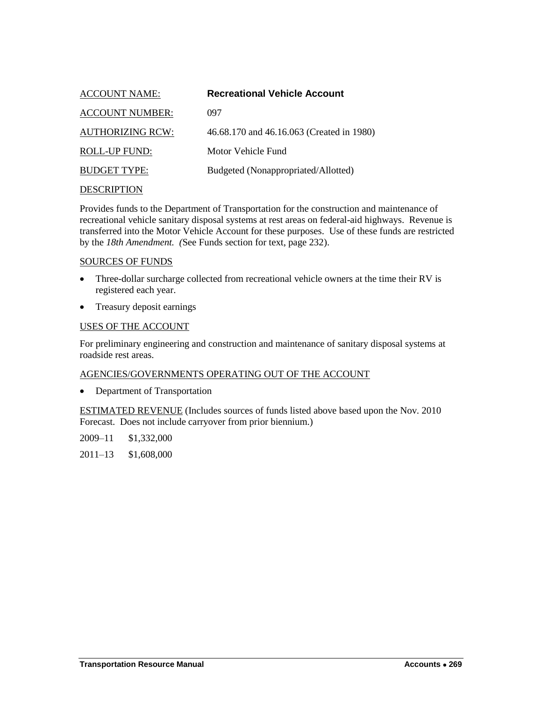<span id="page-36-0"></span>

| <b>ACCOUNT NAME:</b>    | <b>Recreational Vehicle Account</b>       |
|-------------------------|-------------------------------------------|
| <b>ACCOUNT NUMBER:</b>  | 097                                       |
| <b>AUTHORIZING RCW:</b> | 46.68.170 and 46.16.063 (Created in 1980) |
| ROLL-UP FUND:           | Motor Vehicle Fund                        |
| <b>BUDGET TYPE:</b>     | Budgeted (Nonappropriated/Allotted)       |
|                         |                                           |

Provides funds to the Department of Transportation for the construction and maintenance of recreational vehicle sanitary disposal systems at rest areas on federal-aid highways. Revenue is transferred into the Motor Vehicle Account for these purposes. Use of these funds are restricted by the *18th Amendment. (*See Funds section for text, page 232).

#### SOURCES OF FUNDS

- Three-dollar surcharge collected from recreational vehicle owners at the time their RV is registered each year.
- Treasury deposit earnings

### USES OF THE ACCOUNT

For preliminary engineering and construction and maintenance of sanitary disposal systems at roadside rest areas.

#### AGENCIES/GOVERNMENTS OPERATING OUT OF THE ACCOUNT

• Department of Transportation

ESTIMATED REVENUE (Includes sources of funds listed above based upon the Nov. 2010 Forecast. Does not include carryover from prior biennium.)

2009–11 \$1,332,000

2011–13 \$1,608,000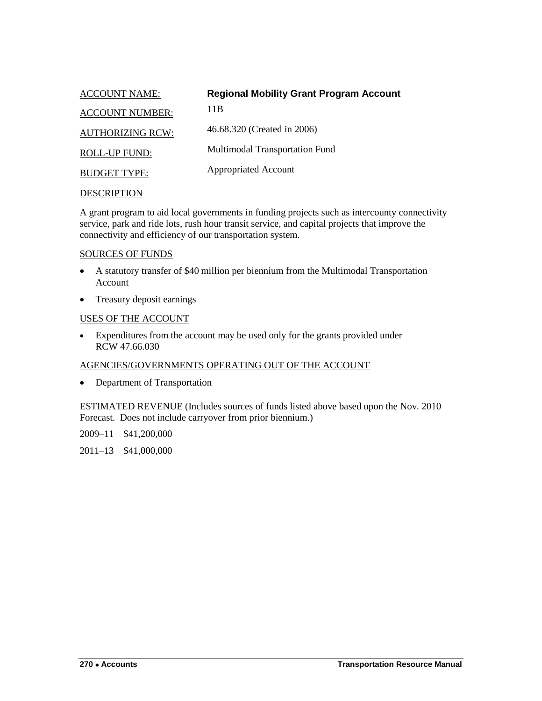<span id="page-37-0"></span>

| <b>ACCOUNT NAME:</b>    | <b>Regional Mobility Grant Program Account</b> |
|-------------------------|------------------------------------------------|
| <b>ACCOUNT NUMBER:</b>  | 11 B                                           |
| <b>AUTHORIZING RCW:</b> | 46.68.320 (Created in 2006)                    |
| <b>ROLL-UP FUND:</b>    | <b>Multimodal Transportation Fund</b>          |
| <b>BUDGET TYPE:</b>     | <b>Appropriated Account</b>                    |

A grant program to aid local governments in funding projects such as intercounty connectivity service, park and ride lots, rush hour transit service, and capital projects that improve the connectivity and efficiency of our transportation system.

### SOURCES OF FUNDS

- A statutory transfer of \$40 million per biennium from the Multimodal Transportation Account
- Treasury deposit earnings

#### USES OF THE ACCOUNT

 Expenditures from the account may be used only for the grants provided under RCW 47.66.030

### AGENCIES/GOVERNMENTS OPERATING OUT OF THE ACCOUNT

• Department of Transportation

ESTIMATED REVENUE (Includes sources of funds listed above based upon the Nov. 2010 Forecast. Does not include carryover from prior biennium.)

2009–11 \$41,200,000

2011–13 \$41,000,000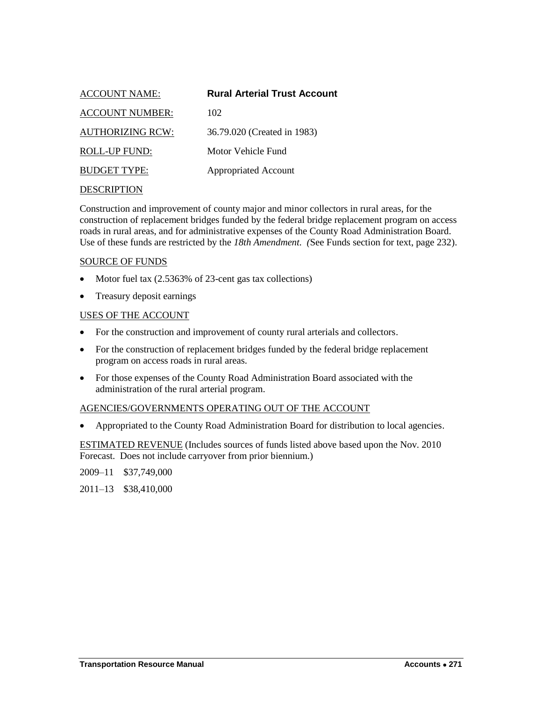<span id="page-38-0"></span>

| <b>ACCOUNT NAME:</b>    | <b>Rural Arterial Trust Account</b> |
|-------------------------|-------------------------------------|
| <b>ACCOUNT NUMBER:</b>  | 102                                 |
| <b>AUTHORIZING RCW:</b> | 36.79.020 (Created in 1983)         |
| ROLL-UP FUND:           | Motor Vehicle Fund                  |
| <b>BUDGET TYPE:</b>     | <b>Appropriated Account</b>         |
|                         |                                     |

Construction and improvement of county major and minor collectors in rural areas, for the construction of replacement bridges funded by the federal bridge replacement program on access roads in rural areas, and for administrative expenses of the County Road Administration Board. Use of these funds are restricted by the *18th Amendment. (*See Funds section for text, page 232).

#### SOURCE OF FUNDS

- Motor fuel tax (2.5363% of 23-cent gas tax collections)
- Treasury deposit earnings

#### USES OF THE ACCOUNT

- For the construction and improvement of county rural arterials and collectors.
- For the construction of replacement bridges funded by the federal bridge replacement program on access roads in rural areas.
- For those expenses of the County Road Administration Board associated with the administration of the rural arterial program.

#### AGENCIES/GOVERNMENTS OPERATING OUT OF THE ACCOUNT

Appropriated to the County Road Administration Board for distribution to local agencies.

ESTIMATED REVENUE (Includes sources of funds listed above based upon the Nov. 2010 Forecast. Does not include carryover from prior biennium.)

2009–11 \$37,749,000

2011–13 \$38,410,000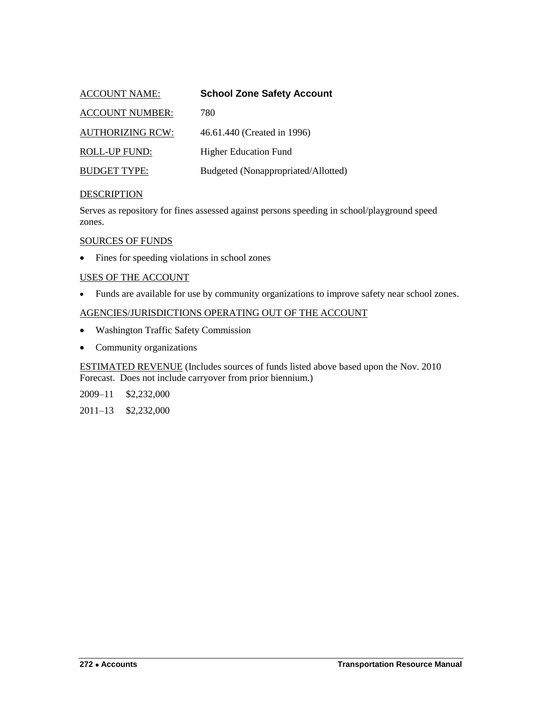<span id="page-39-0"></span>

| <b>ACCOUNT NAME:</b>    | <b>School Zone Safety Account</b>   |
|-------------------------|-------------------------------------|
| <b>ACCOUNT NUMBER:</b>  | 780                                 |
| <b>AUTHORIZING RCW:</b> | 46.61.440 (Created in 1996)         |
| ROLL-UP FUND:           | <b>Higher Education Fund</b>        |
| <b>BUDGET TYPE:</b>     | Budgeted (Nonappropriated/Allotted) |

Serves as repository for fines assessed against persons speeding in school/playground speed zones.

#### SOURCES OF FUNDS

Fines for speeding violations in school zones

### USES OF THE ACCOUNT

Funds are available for use by community organizations to improve safety near school zones.

### AGENCIES/JURISDICTIONS OPERATING OUT OF THE ACCOUNT

- Washington Traffic Safety Commission
- Community organizations

ESTIMATED REVENUE (Includes sources of funds listed above based upon the Nov. 2010 Forecast. Does not include carryover from prior biennium.)

2009–11 \$2,232,000

2011–13 \$2,232,000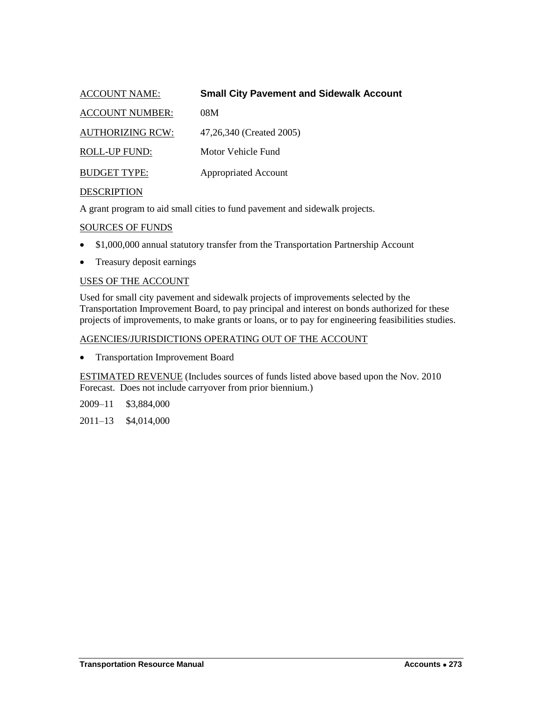<span id="page-40-0"></span>

| <b>ACCOUNT NAME:</b>    | <b>Small City Pavement and Sidewalk Account</b> |
|-------------------------|-------------------------------------------------|
| <b>ACCOUNT NUMBER:</b>  | 08M                                             |
| <b>AUTHORIZING RCW:</b> | 47,26,340 (Created 2005)                        |
| <b>ROLL-UP FUND:</b>    | Motor Vehicle Fund                              |
| <b>BUDGET TYPE:</b>     | <b>Appropriated Account</b>                     |
| <b>DESCRIPTION</b>      |                                                 |

A grant program to aid small cities to fund pavement and sidewalk projects.

#### SOURCES OF FUNDS

- \$1,000,000 annual statutory transfer from the Transportation Partnership Account
- Treasury deposit earnings

#### USES OF THE ACCOUNT

Used for small city pavement and sidewalk projects of improvements selected by the Transportation Improvement Board, to pay principal and interest on bonds authorized for these projects of improvements, to make grants or loans, or to pay for engineering feasibilities studies.

#### AGENCIES/JURISDICTIONS OPERATING OUT OF THE ACCOUNT

• Transportation Improvement Board

ESTIMATED REVENUE (Includes sources of funds listed above based upon the Nov. 2010 Forecast. Does not include carryover from prior biennium.)

2009–11 \$3,884,000

2011–13 \$4,014,000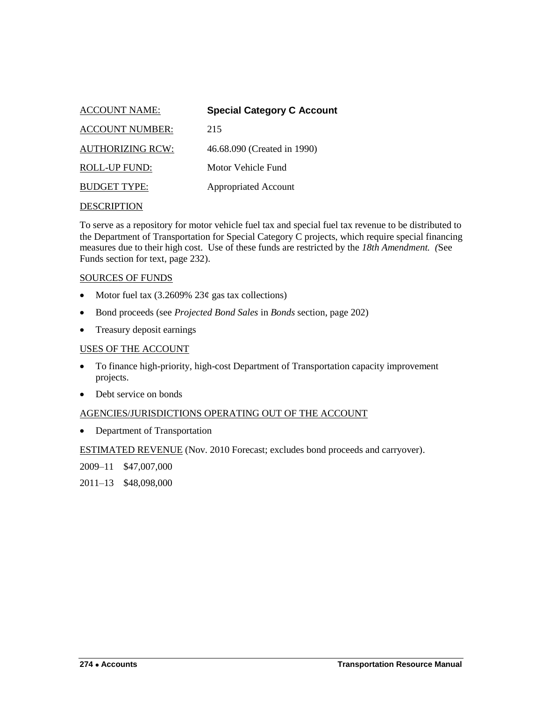<span id="page-41-0"></span>

| <b>ACCOUNT NAME:</b>    | <b>Special Category C Account</b> |
|-------------------------|-----------------------------------|
| <b>ACCOUNT NUMBER:</b>  | 215                               |
| <b>AUTHORIZING RCW:</b> | 46.68.090 (Created in 1990)       |
| ROLL-UP FUND:           | Motor Vehicle Fund                |
| <b>BUDGET TYPE:</b>     | <b>Appropriated Account</b>       |

To serve as a repository for motor vehicle fuel tax and special fuel tax revenue to be distributed to the Department of Transportation for Special Category C projects, which require special financing measures due to their high cost. Use of these funds are restricted by the *18th Amendment. (*See Funds section for text, page 232).

#### SOURCES OF FUNDS

- Motor fuel tax  $(3.2609\% 23¢$  gas tax collections)
- Bond proceeds (see *Projected Bond Sales* in *Bonds* section, page 202)
- Treasury deposit earnings

#### USES OF THE ACCOUNT

- To finance high-priority, high-cost Department of Transportation capacity improvement projects.
- Debt service on bonds

### AGENCIES/JURISDICTIONS OPERATING OUT OF THE ACCOUNT

• Department of Transportation

ESTIMATED REVENUE (Nov. 2010 Forecast; excludes bond proceeds and carryover).

2009–11 \$47,007,000

2011–13 \$48,098,000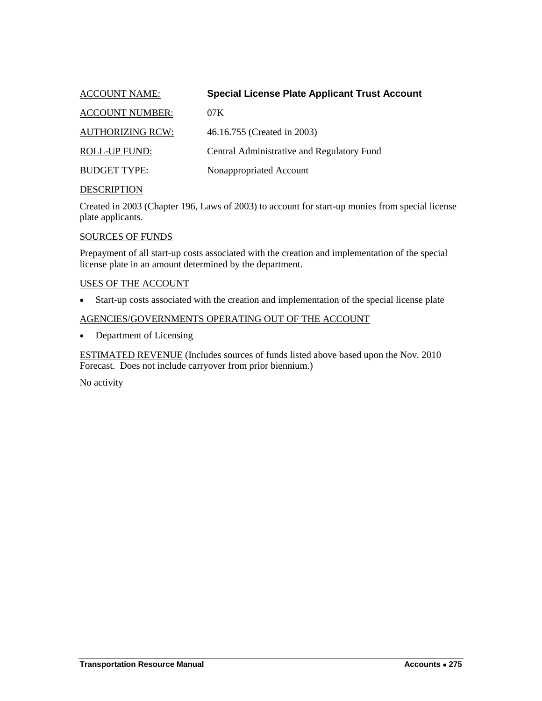<span id="page-42-0"></span>

| <b>ACCOUNT NAME:</b>    | <b>Special License Plate Applicant Trust Account</b> |
|-------------------------|------------------------------------------------------|
| <b>ACCOUNT NUMBER:</b>  | 07K                                                  |
| <b>AUTHORIZING RCW:</b> | 46.16.755 (Created in 2003)                          |
| <b>ROLL-UP FUND:</b>    | Central Administrative and Regulatory Fund           |
| <b>BUDGET TYPE:</b>     | Nonappropriated Account                              |
|                         |                                                      |

Created in 2003 (Chapter 196, Laws of 2003) to account for start-up monies from special license plate applicants.

### SOURCES OF FUNDS

Prepayment of all start-up costs associated with the creation and implementation of the special license plate in an amount determined by the department.

### USES OF THE ACCOUNT

Start-up costs associated with the creation and implementation of the special license plate

### AGENCIES/GOVERNMENTS OPERATING OUT OF THE ACCOUNT

• Department of Licensing

ESTIMATED REVENUE (Includes sources of funds listed above based upon the Nov. 2010 Forecast. Does not include carryover from prior biennium.)

No activity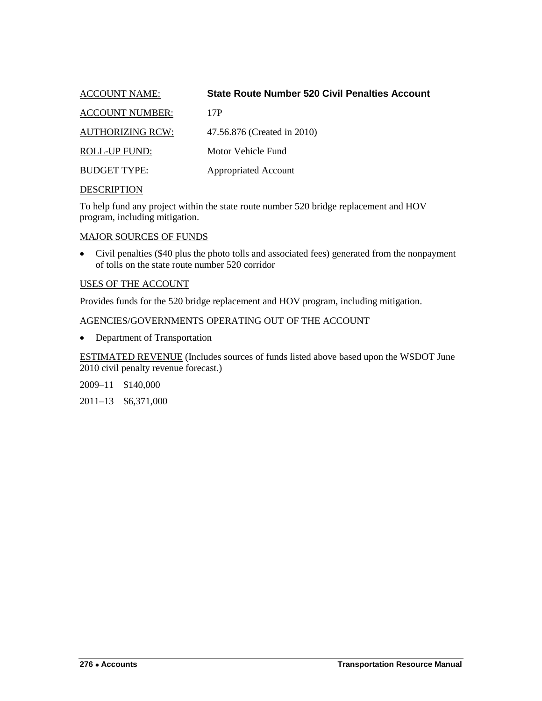<span id="page-43-0"></span>

| <b>ACCOUNT NAME:</b>    | <b>State Route Number 520 Civil Penalties Account</b> |
|-------------------------|-------------------------------------------------------|
| <b>ACCOUNT NUMBER:</b>  | 17P                                                   |
| <b>AUTHORIZING RCW:</b> | 47.56.876 (Created in 2010)                           |
| ROLL-UP FUND:           | Motor Vehicle Fund                                    |
| <b>BUDGET TYPE:</b>     | <b>Appropriated Account</b>                           |
|                         |                                                       |

To help fund any project within the state route number 520 bridge replacement and HOV program, including mitigation.

### MAJOR SOURCES OF FUNDS

 Civil penalties (\$40 plus the photo tolls and associated fees) generated from the nonpayment of tolls on the state route number 520 corridor

### USES OF THE ACCOUNT

Provides funds for the 520 bridge replacement and HOV program, including mitigation.

### AGENCIES/GOVERNMENTS OPERATING OUT OF THE ACCOUNT

• Department of Transportation

ESTIMATED REVENUE (Includes sources of funds listed above based upon the WSDOT June 2010 civil penalty revenue forecast.)

2009–11 \$140,000

2011–13 \$6,371,000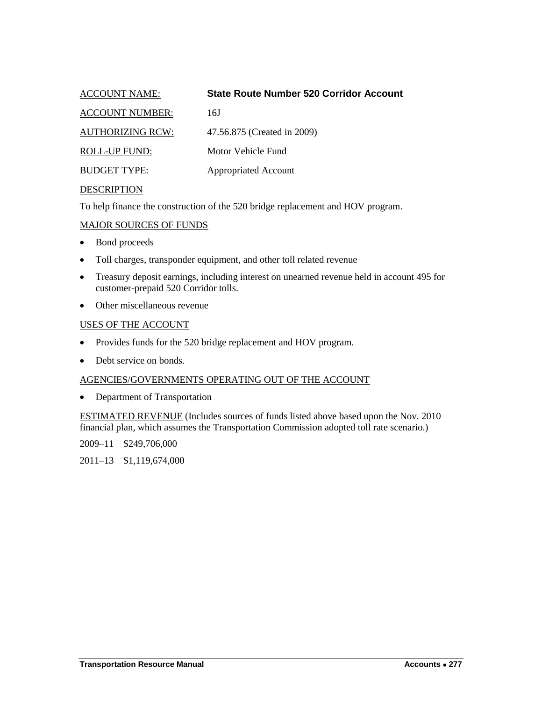<span id="page-44-0"></span>

| <b>ACCOUNT NAME:</b>    | <b>State Route Number 520 Corridor Account</b> |
|-------------------------|------------------------------------------------|
| <b>ACCOUNT NUMBER:</b>  | 16J                                            |
| <b>AUTHORIZING RCW:</b> | 47.56.875 (Created in 2009)                    |
| ROLL-UP FUND:           | Motor Vehicle Fund                             |
| <b>BUDGET TYPE:</b>     | <b>Appropriated Account</b>                    |
|                         |                                                |

To help finance the construction of the 520 bridge replacement and HOV program.

### MAJOR SOURCES OF FUNDS

- Bond proceeds
- Toll charges, transponder equipment, and other toll related revenue
- Treasury deposit earnings, including interest on unearned revenue held in account 495 for customer-prepaid 520 Corridor tolls.
- Other miscellaneous revenue

### USES OF THE ACCOUNT

- Provides funds for the 520 bridge replacement and HOV program.
- Debt service on bonds.

### AGENCIES/GOVERNMENTS OPERATING OUT OF THE ACCOUNT

• Department of Transportation

ESTIMATED REVENUE (Includes sources of funds listed above based upon the Nov. 2010 financial plan, which assumes the Transportation Commission adopted toll rate scenario.)

2009–11 \$249,706,000

2011–13 \$1,119,674,000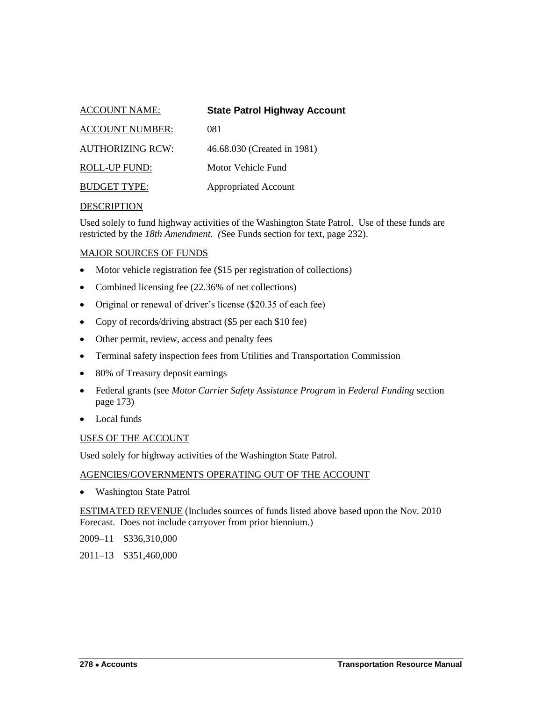<span id="page-45-0"></span>

| <b>ACCOUNT NAME:</b>    | <b>State Patrol Highway Account</b> |
|-------------------------|-------------------------------------|
| <b>ACCOUNT NUMBER:</b>  | 081                                 |
| <b>AUTHORIZING RCW:</b> | 46.68.030 (Created in 1981)         |
| ROLL-UP FUND:           | Motor Vehicle Fund                  |
| <b>BUDGET TYPE:</b>     | <b>Appropriated Account</b>         |

Used solely to fund highway activities of the Washington State Patrol. Use of these funds are restricted by the *18th Amendment. (*See Funds section for text, page 232).

#### MAJOR SOURCES OF FUNDS

- Motor vehicle registration fee (\$15 per registration of collections)
- Combined licensing fee (22.36% of net collections)
- Original or renewal of driver's license (\$20.35 of each fee)
- Copy of records/driving abstract (\$5 per each \$10 fee)
- Other permit, review, access and penalty fees
- Terminal safety inspection fees from Utilities and Transportation Commission
- 80% of Treasury deposit earnings
- Federal grants (see *Motor Carrier Safety Assistance Program* in *Federal Funding* section page 173)
- Local funds

#### USES OF THE ACCOUNT

Used solely for highway activities of the Washington State Patrol.

#### AGENCIES/GOVERNMENTS OPERATING OUT OF THE ACCOUNT

• Washington State Patrol

ESTIMATED REVENUE (Includes sources of funds listed above based upon the Nov. 2010 Forecast. Does not include carryover from prior biennium.)

2009–11 \$336,310,000

2011–13 \$351,460,000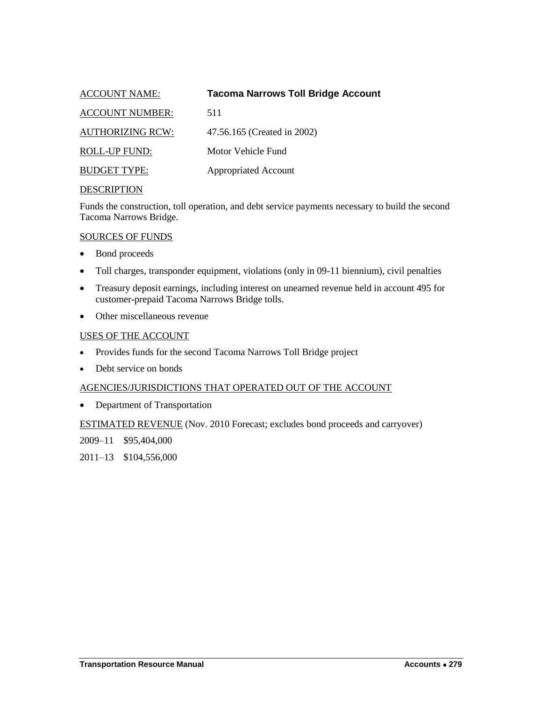<span id="page-46-0"></span>

| <b>ACCOUNT NAME:</b>    | <b>Tacoma Narrows Toll Bridge Account</b> |
|-------------------------|-------------------------------------------|
| <b>ACCOUNT NUMBER:</b>  | 511                                       |
| <b>AUTHORIZING RCW:</b> | 47.56.165 (Created in 2002)               |
| ROLL-UP FUND:           | Motor Vehicle Fund                        |
| <b>BUDGET TYPE:</b>     | <b>Appropriated Account</b>               |
|                         |                                           |

Funds the construction, toll operation, and debt service payments necessary to build the second Tacoma Narrows Bridge.

### SOURCES OF FUNDS

- Bond proceeds
- Toll charges, transponder equipment, violations (only in 09-11 biennium), civil penalties
- Treasury deposit earnings, including interest on unearned revenue held in account 495 for customer-prepaid Tacoma Narrows Bridge tolls.
- Other miscellaneous revenue

### USES OF THE ACCOUNT

- Provides funds for the second Tacoma Narrows Toll Bridge project
- Debt service on bonds

### AGENCIES/JURISDICTIONS THAT OPERATED OUT OF THE ACCOUNT

• Department of Transportation

ESTIMATED REVENUE (Nov. 2010 Forecast; excludes bond proceeds and carryover)

2009–11 \$95,404,000

2011–13 \$104,556,000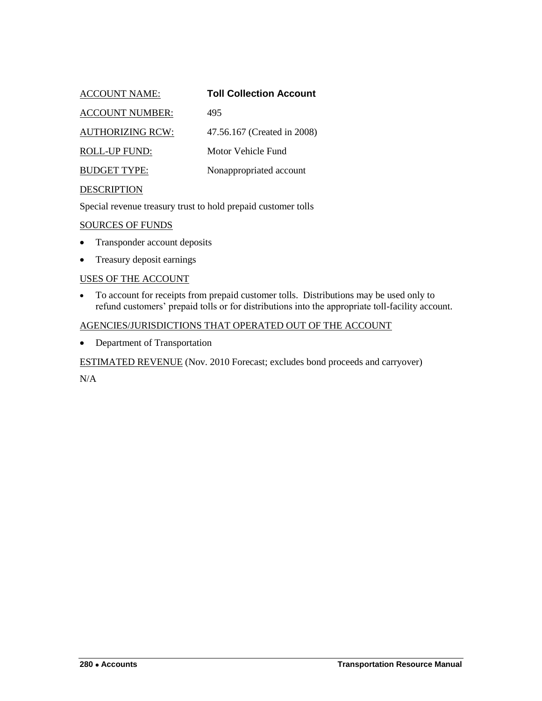<span id="page-47-0"></span>

| <b>ACCOUNT NAME:</b>    | <b>Toll Collection Account</b> |
|-------------------------|--------------------------------|
| <b>ACCOUNT NUMBER:</b>  | 495                            |
| <b>AUTHORIZING RCW:</b> | 47.56.167 (Created in 2008)    |
| <b>ROLL-UP FUND:</b>    | Motor Vehicle Fund             |
| <b>BUDGET TYPE:</b>     | Nonappropriated account        |
| <b>DESCRIPTION</b>      |                                |

Special revenue treasury trust to hold prepaid customer tolls

#### SOURCES OF FUNDS

- Transponder account deposits
- Treasury deposit earnings

### USES OF THE ACCOUNT

 To account for receipts from prepaid customer tolls. Distributions may be used only to refund customers' prepaid tolls or for distributions into the appropriate toll-facility account.

#### AGENCIES/JURISDICTIONS THAT OPERATED OUT OF THE ACCOUNT

• Department of Transportation

ESTIMATED REVENUE (Nov. 2010 Forecast; excludes bond proceeds and carryover)

 $N/A$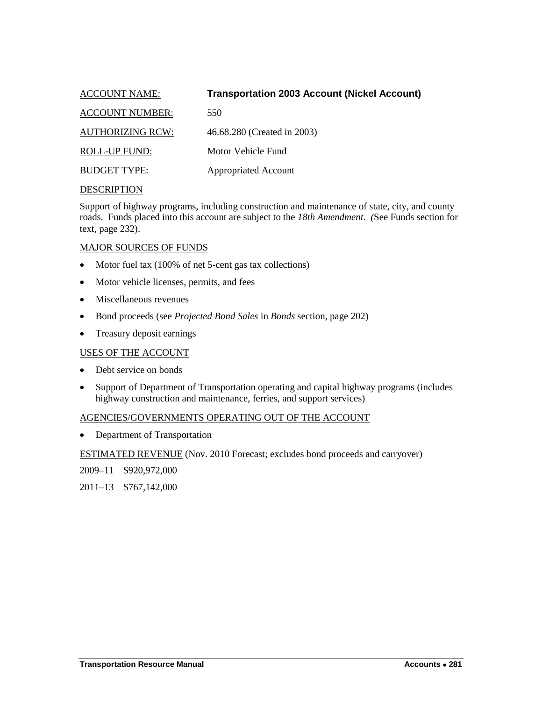<span id="page-48-0"></span>

| <b>ACCOUNT NAME:</b>    | <b>Transportation 2003 Account (Nickel Account)</b> |
|-------------------------|-----------------------------------------------------|
| <b>ACCOUNT NUMBER:</b>  | 550                                                 |
| <b>AUTHORIZING RCW:</b> | 46.68.280 (Created in 2003)                         |
| <b>ROLL-UP FUND:</b>    | Motor Vehicle Fund                                  |
| <b>BUDGET TYPE:</b>     | <b>Appropriated Account</b>                         |

Support of highway programs, including construction and maintenance of state, city, and county roads. Funds placed into this account are subject to the *18th Amendment. (*See Funds section for text, page 232).

### MAJOR SOURCES OF FUNDS

- Motor fuel tax (100% of net 5-cent gas tax collections)
- Motor vehicle licenses, permits, and fees
- Miscellaneous revenues
- Bond proceeds (see *Projected Bond Sales* in *Bonds* section, page 202)
- Treasury deposit earnings

#### USES OF THE ACCOUNT

- Debt service on bonds
- Support of Department of Transportation operating and capital highway programs (includes highway construction and maintenance, ferries, and support services)

#### AGENCIES/GOVERNMENTS OPERATING OUT OF THE ACCOUNT

• Department of Transportation

ESTIMATED REVENUE (Nov. 2010 Forecast; excludes bond proceeds and carryover)

2009–11 \$920,972,000

2011–13 \$767,142,000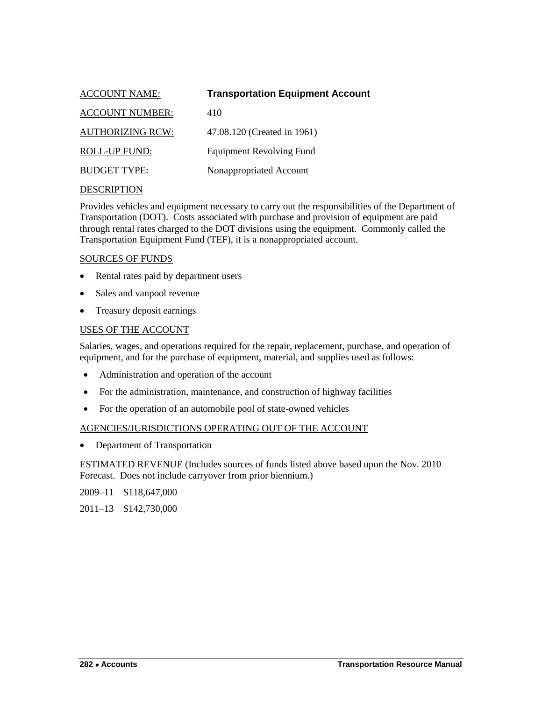<span id="page-49-0"></span>

| <b>ACCOUNT NAME:</b>    | <b>Transportation Equipment Account</b> |
|-------------------------|-----------------------------------------|
| <b>ACCOUNT NUMBER:</b>  | 410                                     |
| <b>AUTHORIZING RCW:</b> | 47.08.120 (Created in 1961)             |
| ROLL-UP FUND:           | <b>Equipment Revolving Fund</b>         |
| <b>BUDGET TYPE:</b>     | Nonappropriated Account                 |
|                         |                                         |

Provides vehicles and equipment necessary to carry out the responsibilities of the Department of Transportation (DOT). Costs associated with purchase and provision of equipment are paid through rental rates charged to the DOT divisions using the equipment. Commonly called the Transportation Equipment Fund (TEF), it is a nonappropriated account.

#### SOURCES OF FUNDS

- Rental rates paid by department users
- Sales and vanpool revenue
- Treasury deposit earnings

#### USES OF THE ACCOUNT

Salaries, wages, and operations required for the repair, replacement, purchase, and operation of equipment, and for the purchase of equipment, material, and supplies used as follows:

- Administration and operation of the account
- For the administration, maintenance, and construction of highway facilities
- For the operation of an automobile pool of state-owned vehicles

### AGENCIES/JURISDICTIONS OPERATING OUT OF THE ACCOUNT

• Department of Transportation

ESTIMATED REVENUE (Includes sources of funds listed above based upon the Nov. 2010 Forecast. Does not include carryover from prior biennium.)

2009–11 \$118,647,000

2011–13 \$142,730,000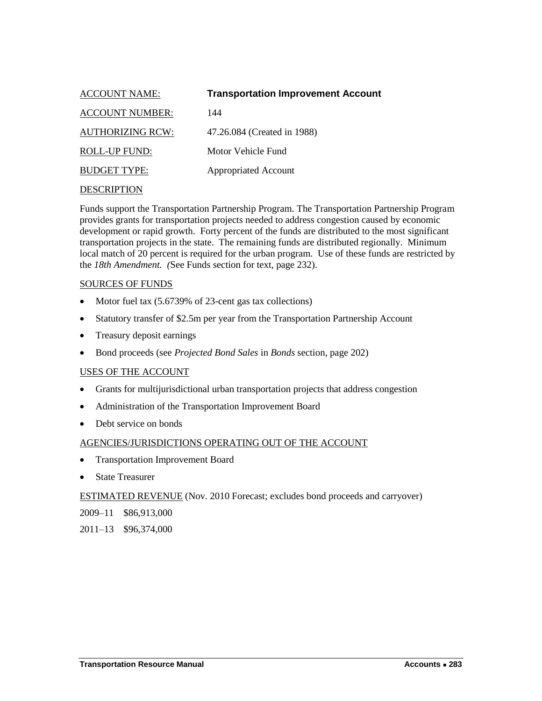<span id="page-50-0"></span>

| <b>ACCOUNT NAME:</b>    | <b>Transportation Improvement Account</b> |
|-------------------------|-------------------------------------------|
| <b>ACCOUNT NUMBER:</b>  | 144                                       |
| <b>AUTHORIZING RCW:</b> | 47.26.084 (Created in 1988)               |
| ROLL-UP FUND:           | Motor Vehicle Fund                        |
| <b>BUDGET TYPE:</b>     | <b>Appropriated Account</b>               |
| <b>DESCRIPTION</b>      |                                           |

Funds support the Transportation Partnership Program. The Transportation Partnership Program provides grants for transportation projects needed to address congestion caused by economic development or rapid growth. Forty percent of the funds are distributed to the most significant transportation projects in the state. The remaining funds are distributed regionally. Minimum local match of 20 percent is required for the urban program. Use of these funds are restricted by the *18th Amendment. (*See Funds section for text, page 232).

#### SOURCES OF FUNDS

- Motor fuel tax (5.6739% of 23-cent gas tax collections)
- Statutory transfer of \$2.5m per year from the Transportation Partnership Account
- Treasury deposit earnings
- Bond proceeds (see *Projected Bond Sales* in *Bonds* section, page 202)

### USES OF THE ACCOUNT

- Grants for multijurisdictional urban transportation projects that address congestion
- Administration of the Transportation Improvement Board
- Debt service on bonds

#### AGENCIES/JURISDICTIONS OPERATING OUT OF THE ACCOUNT

- Transportation Improvement Board
- State Treasurer

### ESTIMATED REVENUE (Nov. 2010 Forecast; excludes bond proceeds and carryover)

2009–11 \$86,913,000

2011–13 \$96,374,000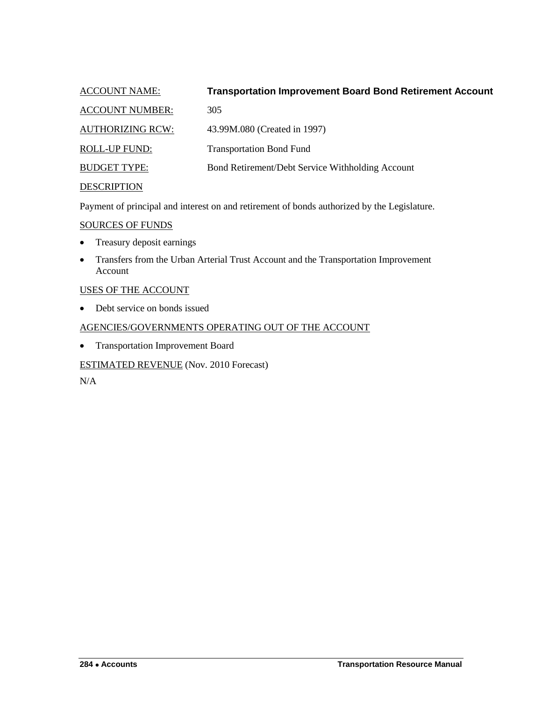<span id="page-51-0"></span>

| <b>ACCOUNT NAME:</b>    | <b>Transportation Improvement Board Bond Retirement Account</b> |
|-------------------------|-----------------------------------------------------------------|
| <b>ACCOUNT NUMBER:</b>  | 305                                                             |
| <b>AUTHORIZING RCW:</b> | 43.99M.080 (Created in 1997)                                    |
| <b>ROLL-UP FUND:</b>    | <b>Transportation Bond Fund</b>                                 |
| <b>BUDGET TYPE:</b>     | Bond Retirement/Debt Service Withholding Account                |
| <b>DESCRIPTION</b>      |                                                                 |

Payment of principal and interest on and retirement of bonds authorized by the Legislature.

#### SOURCES OF FUNDS

- Treasury deposit earnings
- Transfers from the Urban Arterial Trust Account and the Transportation Improvement Account

### USES OF THE ACCOUNT

• Debt service on bonds issued

### AGENCIES/GOVERNMENTS OPERATING OUT OF THE ACCOUNT

• Transportation Improvement Board

### ESTIMATED REVENUE (Nov. 2010 Forecast)

 $N/A$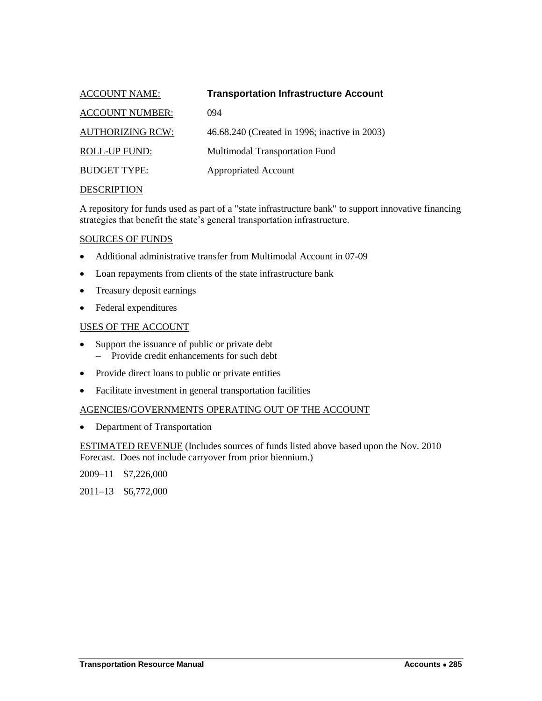<span id="page-52-0"></span>

| <b>ACCOUNT NAME:</b>    | <b>Transportation Infrastructure Account</b>  |
|-------------------------|-----------------------------------------------|
| <b>ACCOUNT NUMBER:</b>  | 094                                           |
| <b>AUTHORIZING RCW:</b> | 46.68.240 (Created in 1996; inactive in 2003) |
| <b>ROLL-UP FUND:</b>    | <b>Multimodal Transportation Fund</b>         |
| <b>BUDGET TYPE:</b>     | <b>Appropriated Account</b>                   |
|                         |                                               |

A repository for funds used as part of a "state infrastructure bank" to support innovative financing strategies that benefit the state's general transportation infrastructure.

### SOURCES OF FUNDS

- Additional administrative transfer from Multimodal Account in 07-09
- Loan repayments from clients of the state infrastructure bank
- Treasury deposit earnings
- Federal expenditures

#### USES OF THE ACCOUNT

- Support the issuance of public or private debt
	- Provide credit enhancements for such debt
- Provide direct loans to public or private entities
- Facilitate investment in general transportation facilities

#### AGENCIES/GOVERNMENTS OPERATING OUT OF THE ACCOUNT

• Department of Transportation

ESTIMATED REVENUE (Includes sources of funds listed above based upon the Nov. 2010 Forecast. Does not include carryover from prior biennium.)

2009–11 \$7,226,000

2011–13 \$6,772,000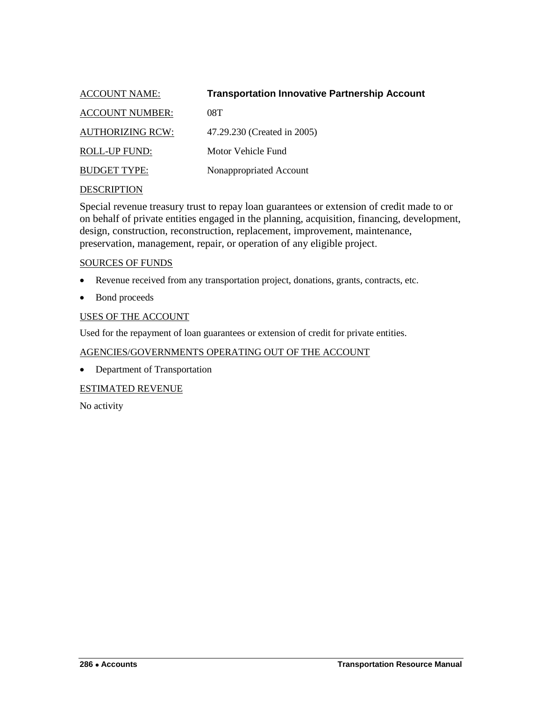<span id="page-53-0"></span>

| ACCOUNT NAME:           | <b>Transportation Innovative Partnership Account</b> |
|-------------------------|------------------------------------------------------|
| <b>ACCOUNT NUMBER:</b>  | 08T                                                  |
| <b>AUTHORIZING RCW:</b> | 47.29.230 (Created in 2005)                          |
| ROLL-UP FUND:           | Motor Vehicle Fund                                   |
| <b>BUDGET TYPE:</b>     | Nonappropriated Account                              |
|                         |                                                      |

Special revenue treasury trust to repay loan guarantees or extension of credit made to or on behalf of private entities engaged in the planning, acquisition, financing, development, design, construction, reconstruction, replacement, improvement, maintenance, preservation, management, repair, or operation of any eligible project.

### SOURCES OF FUNDS

- Revenue received from any transportation project, donations, grants, contracts, etc.
- Bond proceeds

### USES OF THE ACCOUNT

Used for the repayment of loan guarantees or extension of credit for private entities.

### AGENCIES/GOVERNMENTS OPERATING OUT OF THE ACCOUNT

Department of Transportation

### ESTIMATED REVENUE

No activity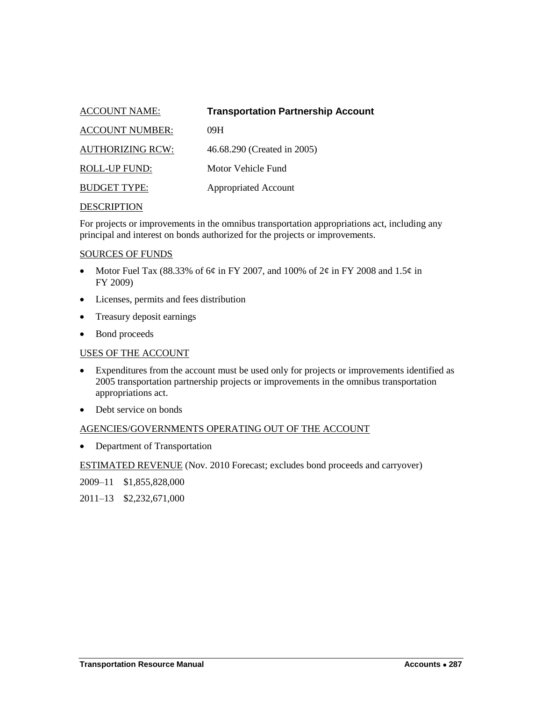<span id="page-54-0"></span>

| <b>ACCOUNT NAME:</b>    | <b>Transportation Partnership Account</b> |
|-------------------------|-------------------------------------------|
| <b>ACCOUNT NUMBER:</b>  | 09H                                       |
| <b>AUTHORIZING RCW:</b> | 46.68.290 (Created in 2005)               |
| ROLL-UP FUND:           | Motor Vehicle Fund                        |
| <b>BUDGET TYPE:</b>     | <b>Appropriated Account</b>               |

For projects or improvements in the omnibus transportation appropriations act, including any principal and interest on bonds authorized for the projects or improvements.

### SOURCES OF FUNDS

- Motor Fuel Tax (88.33% of 6¢ in FY 2007, and 100% of 2¢ in FY 2008 and 1.5¢ in FY 2009)
- Licenses, permits and fees distribution
- Treasury deposit earnings
- Bond proceeds

#### USES OF THE ACCOUNT

- Expenditures from the account must be used only for projects or improvements identified as 2005 transportation partnership projects or improvements in the omnibus transportation appropriations act.
- Debt service on bonds

### AGENCIES/GOVERNMENTS OPERATING OUT OF THE ACCOUNT

• Department of Transportation

ESTIMATED REVENUE (Nov. 2010 Forecast; excludes bond proceeds and carryover)

2009–11 \$1,855,828,000

2011–13 \$2,232,671,000